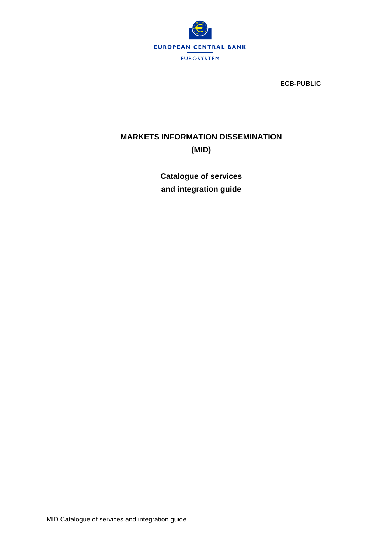

**ECB-PUBLIC**

# **MARKETS INFORMATION DISSEMINATION (MID)**

**Catalogue of services and integration guide**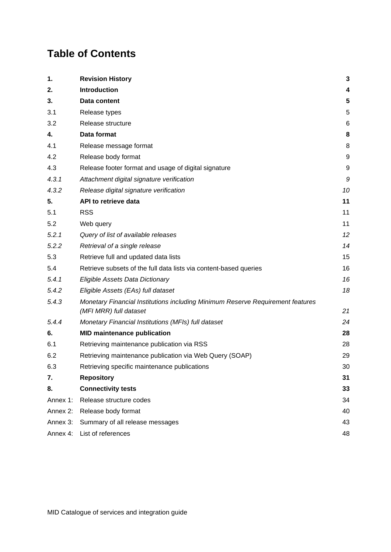# **Table of Contents**

| 1.       | <b>Revision History</b>                                                                                  | 3  |
|----------|----------------------------------------------------------------------------------------------------------|----|
| 2.       | <b>Introduction</b>                                                                                      | 4  |
| 3.       | Data content                                                                                             | 5  |
| 3.1      | Release types                                                                                            | 5  |
| 3.2      | Release structure                                                                                        | 6  |
| 4.       | Data format                                                                                              | 8  |
| 4.1      | Release message format                                                                                   | 8  |
| 4.2      | Release body format                                                                                      | 9  |
| 4.3      | Release footer format and usage of digital signature                                                     | 9  |
| 4.3.1    | Attachment digital signature verification                                                                | 9  |
| 4.3.2    | Release digital signature verification                                                                   | 10 |
| 5.       | API to retrieve data                                                                                     | 11 |
| 5.1      | <b>RSS</b>                                                                                               | 11 |
| 5.2      | Web query                                                                                                | 11 |
| 5.2.1    | Query of list of available releases                                                                      | 12 |
| 5.2.2    | Retrieval of a single release                                                                            | 14 |
| 5.3      | Retrieve full and updated data lists                                                                     | 15 |
| 5.4      | Retrieve subsets of the full data lists via content-based queries                                        | 16 |
| 5.4.1    | Eligible Assets Data Dictionary                                                                          | 16 |
| 5.4.2    | Eligible Assets (EAs) full dataset                                                                       | 18 |
| 5.4.3    | Monetary Financial Institutions including Minimum Reserve Requirement features<br>(MFI MRR) full dataset | 21 |
| 5.4.4    | Monetary Financial Institutions (MFIs) full dataset                                                      | 24 |
| 6.       | <b>MID maintenance publication</b>                                                                       | 28 |
| 6.1      | Retrieving maintenance publication via RSS                                                               | 28 |
| 6.2      | Retrieving maintenance publication via Web Query (SOAP)                                                  | 29 |
| 6.3      | Retrieving specific maintenance publications                                                             | 30 |
| 7.       | <b>Repository</b>                                                                                        | 31 |
| 8.       | <b>Connectivity tests</b>                                                                                | 33 |
| Annex 1: | Release structure codes                                                                                  | 34 |
| Annex 2: | Release body format                                                                                      | 40 |
| Annex 3: | Summary of all release messages                                                                          | 43 |
| Annex 4: | List of references                                                                                       | 48 |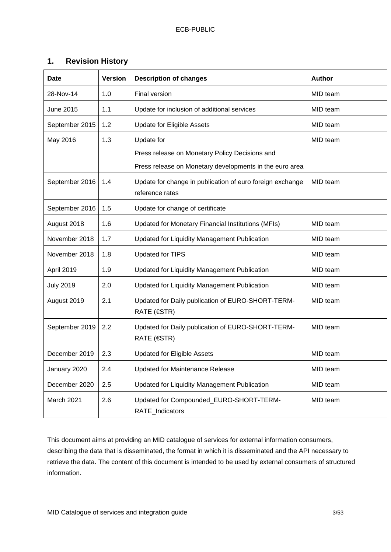# <span id="page-2-0"></span>**1. Revision History**

| <b>Date</b>      | <b>Version</b> | <b>Description of changes</b>                                                | <b>Author</b> |
|------------------|----------------|------------------------------------------------------------------------------|---------------|
| 28-Nov-14        | 1.0            | Final version                                                                | MID team      |
| June 2015        | 1.1            | Update for inclusion of additional services                                  | MID team      |
| September 2015   | 1.2            | <b>Update for Eligible Assets</b>                                            | MID team      |
| May 2016         | 1.3            | Update for                                                                   | MID team      |
|                  |                | Press release on Monetary Policy Decisions and                               |               |
|                  |                | Press release on Monetary developments in the euro area                      |               |
| September 2016   | 1.4            | Update for change in publication of euro foreign exchange<br>reference rates | MID team      |
| September 2016   | 1.5            | Update for change of certificate                                             |               |
| August 2018      | 1.6            | Updated for Monetary Financial Institutions (MFIs)                           | MID team      |
| November 2018    | 1.7            | Updated for Liquidity Management Publication                                 | MID team      |
| November 2018    | 1.8            | <b>Updated for TIPS</b>                                                      | MID team      |
| April 2019       | 1.9            | Updated for Liquidity Management Publication                                 | MID team      |
| <b>July 2019</b> | 2.0            | Updated for Liquidity Management Publication                                 | MID team      |
| August 2019      | 2.1            | Updated for Daily publication of EURO-SHORT-TERM-<br>RATE (€STR)             | MID team      |
| September 2019   | 2.2            | Updated for Daily publication of EURO-SHORT-TERM-<br>RATE (€STR)             | MID team      |
| December 2019    | 2.3            | <b>Updated for Eligible Assets</b>                                           | MID team      |
| January 2020     | 2.4            | <b>Updated for Maintenance Release</b>                                       | MID team      |
| December 2020    | 2.5            | Updated for Liquidity Management Publication                                 | MID team      |
| March 2021       | 2.6            | Updated for Compounded_EURO-SHORT-TERM-<br>RATE_Indicators                   | MID team      |

This document aims at providing an MID catalogue of services for external information consumers, describing the data that is disseminated, the format in which it is disseminated and the API necessary to retrieve the data. The content of this document is intended to be used by external consumers of structured information.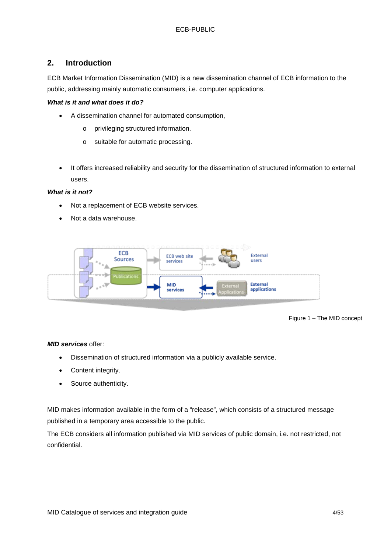# <span id="page-3-0"></span>**2. Introduction**

ECB Market Information Dissemination (MID) is a new dissemination channel of ECB information to the public, addressing mainly automatic consumers, i.e. computer applications.

### *What is it and what does it do?*

- A dissemination channel for automated consumption,
	- o privileging structured information.
	- o suitable for automatic processing.
- It offers increased reliability and security for the dissemination of structured information to external users.

#### *What is it not?*

- Not a replacement of ECB website services.
- Not a data warehouse.



#### Figure 1 – The MID concept

#### *MID services* offer:

- Dissemination of structured information via a publicly available service.
- Content integrity.
- Source authenticity.

MID makes information available in the form of a "release", which consists of a structured message published in a temporary area accessible to the public.

The ECB considers all information published via MID services of public domain, i.e. not restricted, not confidential.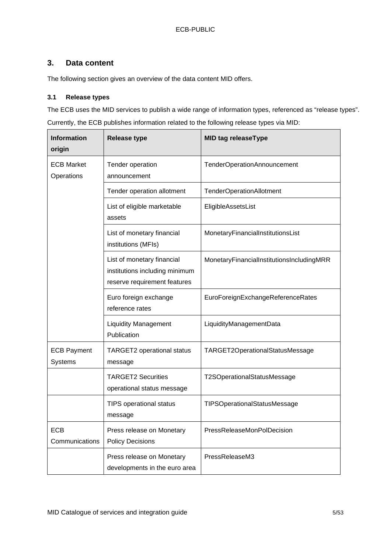# <span id="page-4-0"></span>**3. Data content**

The following section gives an overview of the data content MID offers.

## <span id="page-4-1"></span>**3.1 Release types**

The ECB uses the MID services to publish a wide range of information types, referenced as "release types".

Currently, the ECB publishes information related to the following release types via MID:

| <b>Information</b><br>origin    | <b>Release type</b>                                                                          | <b>MID tag releaseType</b>                |
|---------------------------------|----------------------------------------------------------------------------------------------|-------------------------------------------|
| <b>ECB Market</b><br>Operations | Tender operation<br>announcement                                                             | TenderOperationAnnouncement               |
|                                 | Tender operation allotment                                                                   | <b>TenderOperationAllotment</b>           |
|                                 | List of eligible marketable<br>assets                                                        | EligibleAssetsList                        |
|                                 | List of monetary financial<br>institutions (MFIs)                                            | MonetaryFinancialInstitutionsList         |
|                                 | List of monetary financial<br>institutions including minimum<br>reserve requirement features | MonetaryFinancialInstitutionsIncludingMRR |
|                                 | Euro foreign exchange<br>reference rates                                                     | EuroForeignExchangeReferenceRates         |
|                                 | <b>Liquidity Management</b><br>Publication                                                   | LiquidityManagementData                   |
| <b>ECB Payment</b><br>Systems   | <b>TARGET2</b> operational status<br>message                                                 | TARGET2OperationalStatusMessage           |
|                                 | <b>TARGET2 Securities</b><br>operational status message                                      | T2SOperationalStatusMessage               |
|                                 | <b>TIPS operational status</b><br>message                                                    | TIPSOperationalStatusMessage              |
| <b>ECB</b><br>Communications    | Press release on Monetary<br><b>Policy Decisions</b>                                         | PressReleaseMonPolDecision                |
|                                 | Press release on Monetary<br>developments in the euro area                                   | PressReleaseM3                            |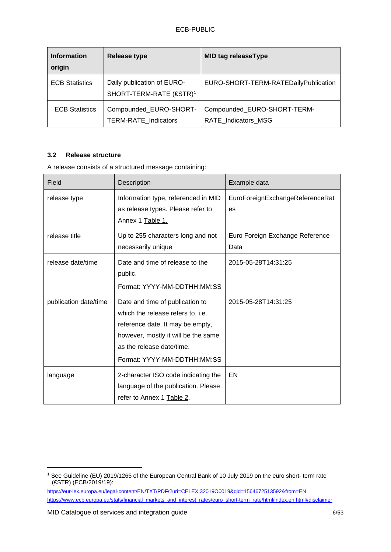| <b>Information</b><br>origin | <b>Release type</b>                                               | <b>MID tag releaseType</b>                                |
|------------------------------|-------------------------------------------------------------------|-----------------------------------------------------------|
| <b>ECB Statistics</b>        | Daily publication of EURO-<br>SHORT-TERM-RATE (€STR) <sup>1</sup> | EURO-SHORT-TERM-RATEDailyPublication                      |
| <b>ECB Statistics</b>        | Compounded_EURO-SHORT-<br><b>TERM-RATE Indicators</b>             | Compounded_EURO-SHORT-TERM-<br><b>RATE Indicators MSG</b> |

#### <span id="page-5-0"></span>**3.2 Release structure**

A release consists of a structured message containing:

| Field                 | Description                                                                                                                                                                                                 | Example data                            |
|-----------------------|-------------------------------------------------------------------------------------------------------------------------------------------------------------------------------------------------------------|-----------------------------------------|
| release type          | Information type, referenced in MID<br>as release types. Please refer to<br>Annex 1 Table 1.                                                                                                                | EuroForeignExchangeReferenceRat<br>es   |
| release title         | Up to 255 characters long and not<br>necessarily unique                                                                                                                                                     | Euro Foreign Exchange Reference<br>Data |
| release date/time     | Date and time of release to the<br>public.<br>Format: YYYY-MM-DDTHH:MM:SS                                                                                                                                   | 2015-05-28T14:31:25                     |
| publication date/time | Date and time of publication to<br>which the release refers to, i.e.<br>reference date. It may be empty,<br>however, mostly it will be the same<br>as the release date/time.<br>Format: YYYY-MM-DDTHH:MM:SS | 2015-05-28T14:31:25                     |
| language              | 2-character ISO code indicating the<br>language of the publication. Please<br>refer to Annex 1 Table 2.                                                                                                     | EN                                      |

<span id="page-5-1"></span><sup>1</sup> See Guideline (EU) 2019/1265 of the European Central Bank of 10 July 2019 on the euro short- term rate (€STR) (ECB/2019/19):

<https://eur-lex.europa.eu/legal-content/EN/TXT/PDF/?uri=CELEX:32019O0019&qid=1564672513592&from=EN> [https://www.ecb.europa.eu/stats/financial\\_markets\\_and\\_interest\\_rates/euro\\_short-term\\_rate/html/index.en.html#disclaimer](https://www.ecb.europa.eu/stats/financial_markets_and_interest_rates/euro_short-term_rate/html/index.en.html#disclaimer)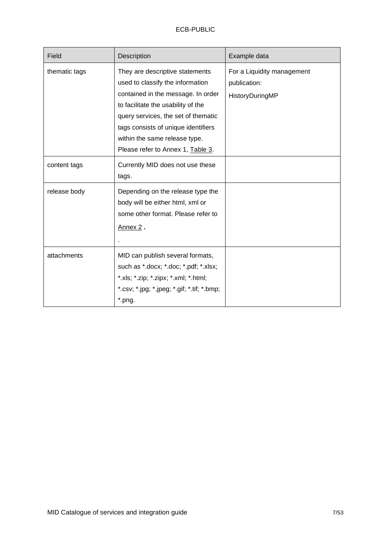| Field         | <b>Description</b>                                                                                                                                                                                                                                                                                  | Example data                                                  |
|---------------|-----------------------------------------------------------------------------------------------------------------------------------------------------------------------------------------------------------------------------------------------------------------------------------------------------|---------------------------------------------------------------|
| thematic tags | They are descriptive statements<br>used to classify the information<br>contained in the message. In order<br>to facilitate the usability of the<br>query services, the set of thematic<br>tags consists of unique identifiers<br>within the same release type.<br>Please refer to Annex 1, Table 3. | For a Liquidity management<br>publication:<br>HistoryDuringMP |
| content tags  | Currently MID does not use these<br>tags.                                                                                                                                                                                                                                                           |                                                               |
| release body  | Depending on the release type the<br>body will be either html, xml or<br>some other format. Please refer to<br>Annex 2.                                                                                                                                                                             |                                                               |
| attachments   | MID can publish several formats,<br>such as *.docx; *.doc; *.pdf; *.xlsx;<br>*.xls; *.zip; *.zipx; *.xml; *.html;<br>*.csv; *.jpg; *.jpeg; *.gif; *.tif; *.bmp;<br>*.png.                                                                                                                           |                                                               |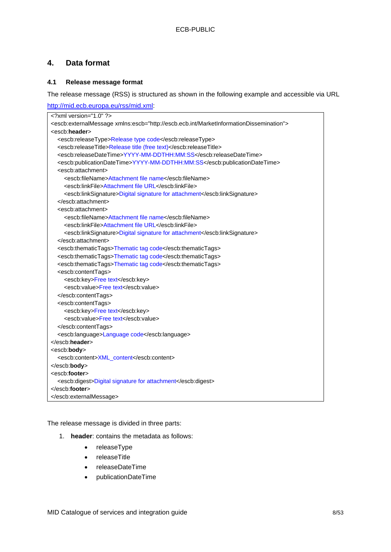# <span id="page-7-0"></span>**4. Data format**

### <span id="page-7-1"></span>**4.1 Release message format**

The release message (RSS) is structured as shown in the following example and accessible via URL

| http://mid.ecb.europa.eu/rss/mid.xml:                                                                         |
|---------------------------------------------------------------------------------------------------------------|
| xml version="1.0" ?                                                                                           |
| <escb:externalmessage xmlns:escb="http://escb.ecb.int/MarketInformationDissemination"></escb:externalmessage> |
| <escb:header></escb:header>                                                                                   |
| <escb:releasetype>Release type code</escb:releasetype>                                                        |
| <escb:releasetitle>Release title (free text)</escb:releasetitle>                                              |
| <escb:releasedatetime>YYYY-MM-DDTHH:MM:SS</escb:releasedatetime>                                              |
| <escb:publicationdatetime>YYYY-MM-DDTHH:MM:SS</escb:publicationdatetime>                                      |
| <escb:attachment></escb:attachment>                                                                           |
| <escb:filename>Attachment file name</escb:filename>                                                           |
| <escb:linkfile>Attachment file URL</escb:linkfile>                                                            |
| <escb:linksignature>Digital signature for attachment</escb:linksignature>                                     |
|                                                                                                               |
| <escb:attachment></escb:attachment>                                                                           |
| <escb:filename>Attachment file name</escb:filename>                                                           |
| <escb:linkfile>Attachment file URL</escb:linkfile>                                                            |
| <escb:linksignature>Digital signature for attachment</escb:linksignature>                                     |
|                                                                                                               |
| <escb:thematictags>Thematic tag code</escb:thematictags>                                                      |
| <escb:thematictags>Thematic tag code</escb:thematictags>                                                      |
| <escb:thematictags>Thematic tag code</escb:thematictags>                                                      |
| <escb:contenttags></escb:contenttags>                                                                         |
| <escb:key>Free text</escb:key>                                                                                |
| <escb:value>Free text</escb:value>                                                                            |
|                                                                                                               |
| <escb:contenttags></escb:contenttags>                                                                         |
| <escb:key>Free text</escb:key>                                                                                |
| <escb:value>Free text</escb:value>                                                                            |
|                                                                                                               |
| <escb:language>Language code</escb:language>                                                                  |
| $<$ /escb:header>                                                                                             |
| <escb:body></escb:body>                                                                                       |
| <escb:content>XML_content</escb:content>                                                                      |
|                                                                                                               |
| <escb:footer></escb:footer>                                                                                   |
| <escb:digest>Digital signature for attachment</escb:digest>                                                   |
| $<$ /escb:footer>                                                                                             |
|                                                                                                               |

The release message is divided in three parts:

- 1. **header**: contains the metadata as follows:
	- releaseType
	- releaseTitle
	- releaseDateTime
	- publicationDateTime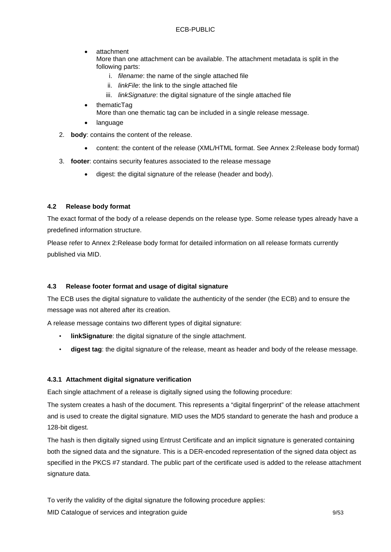• attachment

More than one attachment can be available. The attachment metadata is split in the following parts:

- i. *filename*: the name of the single attached file
- ii. *linkFile*: the link to the single attached file
- iii. *linkSignature*: the digital signature of the single attached file
- thematicTag
	- More than one thematic tag can be included in a single release message.
- language
- 2. **body**: contains the content of the release.
	- content: the content of the release (XML/HTML format. See [Annex 2:Release body format\)](#page-39-0)
- 3. **footer**: contains security features associated to the release message
	- digest: the digital signature of the release (header and body).

#### <span id="page-8-0"></span>**4.2 Release body format**

The exact format of the body of a release depends on the release type. Some release types already have a predefined information structure.

Please refer to [Annex 2:Release body format](#page-39-0) for detailed information on all release formats currently published via MID.

#### <span id="page-8-1"></span>**4.3 Release footer format and usage of digital signature**

The ECB uses the digital signature to validate the authenticity of the sender (the ECB) and to ensure the message was not altered after its creation.

A release message contains two different types of digital signature:

- **linkSignature**: the digital signature of the single attachment.
- **digest tag**: the digital signature of the release, meant as header and body of the release message.

#### <span id="page-8-2"></span>**4.3.1 Attachment digital signature verification**

Each single attachment of a release is digitally signed using the following procedure:

The system creates a hash of the document. This represents a "digital fingerprint" of the release attachment and is used to create the digital signature. MID uses the MD5 standard to generate the hash and produce a 128-bit digest.

The hash is then digitally signed using Entrust Certificate and an implicit signature is generated containing both the signed data and the signature. This is a DER-encoded representation of the signed data object as specified in the PKCS #7 standard. The public part of the certificate used is added to the release attachment signature data.

To verify the validity of the digital signature the following procedure applies:

MID Catalogue of services and integration guide 9/53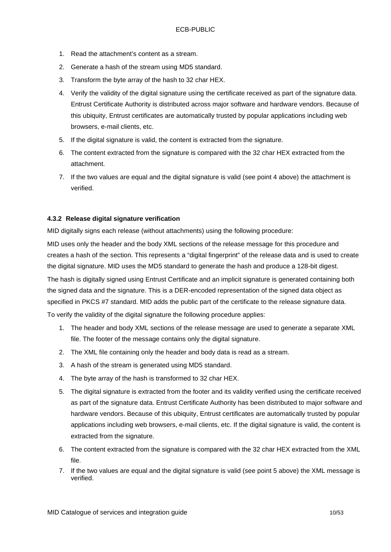- 1. Read the attachment's content as a stream.
- 2. Generate a hash of the stream using MD5 standard.
- 3. Transform the byte array of the hash to 32 char HEX.
- 4. Verify the validity of the digital signature using the certificate received as part of the signature data. Entrust Certificate Authority is distributed across major software and hardware vendors. Because of this ubiquity, Entrust certificates are automatically trusted by popular applications including web browsers, e-mail clients, etc.
- 5. If the digital signature is valid, the content is extracted from the signature.
- 6. The content extracted from the signature is compared with the 32 char HEX extracted from the attachment.
- 7. If the two values are equal and the digital signature is valid (see point 4 above) the attachment is verified.

#### <span id="page-9-0"></span>**4.3.2 Release digital signature verification**

MID digitally signs each release (without attachments) using the following procedure:

MID uses only the header and the body XML sections of the release message for this procedure and creates a hash of the section. This represents a "digital fingerprint" of the release data and is used to create the digital signature. MID uses the MD5 standard to generate the hash and produce a 128-bit digest.

The hash is digitally signed using Entrust Certificate and an implicit signature is generated containing both the signed data and the signature. This is a DER-encoded representation of the signed data object as specified in PKCS #7 standard. MID adds the public part of the certificate to the release signature data.

To verify the validity of the digital signature the following procedure applies:

- 1. The header and body XML sections of the release message are used to generate a separate XML file. The footer of the message contains only the digital signature.
- 2. The XML file containing only the header and body data is read as a stream.
- 3. A hash of the stream is generated using MD5 standard.
- 4. The byte array of the hash is transformed to 32 char HEX.
- 5. The digital signature is extracted from the footer and its validity verified using the certificate received as part of the signature data. Entrust Certificate Authority has been distributed to major software and hardware vendors. Because of this ubiquity, Entrust certificates are automatically trusted by popular applications including web browsers, e-mail clients, etc. If the digital signature is valid, the content is extracted from the signature.
- 6. The content extracted from the signature is compared with the 32 char HEX extracted from the XML file.
- 7. If the two values are equal and the digital signature is valid (see point 5 above) the XML message is verified.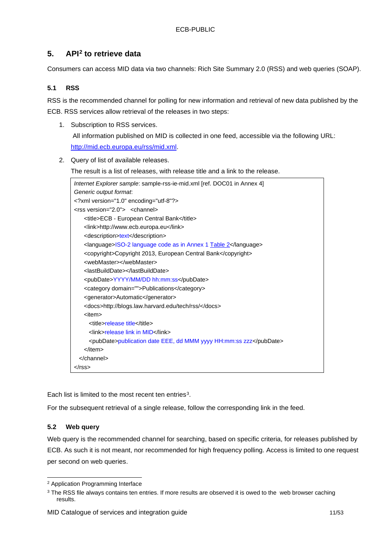# <span id="page-10-0"></span>**5. API[2](#page-10-3) to retrieve data**

Consumers can access MID data via two channels: Rich Site Summary 2.0 (RSS) and web queries (SOAP).

### <span id="page-10-1"></span>**5.1 RSS**

RSS is the recommended channel for polling for new information and retrieval of new data published by the ECB. RSS services allow retrieval of the releases in two steps:

- 1. Subscription to RSS services. All information published on MID is collected in one feed, accessible via the following URL: [http://mid.ecb.europa.eu/rss/mid.xml.](http://mid.ecb.europa.eu/rss/mid.xml)
- 2. Query of list of available releases.

The result is a list of releases, with release title and a link to the release.



Each list is limited to the most recent ten entries<sup>[3](#page-10-4)</sup>.

For the subsequent retrieval of a single release, follow the corresponding link in the feed.

#### <span id="page-10-2"></span>**5.2 Web query**

Web query is the recommended channel for searching, based on specific criteria, for releases published by ECB. As such it is not meant, nor recommended for high frequency polling. Access is limited to one request per second on web queries.

<span id="page-10-3"></span><sup>2</sup> Application Programming Interface

<span id="page-10-4"></span><sup>&</sup>lt;sup>3</sup> The RSS file always contains ten entries. If more results are observed it is owed to the web browser caching results.

MID Catalogue of services and integration guide 11/53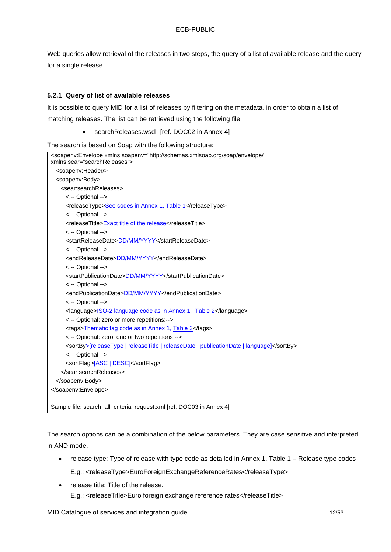Web queries allow retrieval of the releases in two steps, the query of a list of available release and the query for a single release.

#### <span id="page-11-0"></span>**5.2.1 Query of list of available releases**

It is possible to query MID for a list of releases by filtering on the metadata, in order to obtain a list of matching releases. The list can be retrieved using the following file:

searchReleases.wsdl [ref. DOC02 in Annex 4]

The search is based on Soap with the following structure:

```
<soapenv:Envelope xmlns:soapenv="http://schemas.xmlsoap.org/soap/envelope/" 
xmlns:sear="searchReleases">
  <soapenv:Header/>
  <soapenv:Body>
    <sear:searchReleases>
      <!-- Optional -->
      <releaseType>See codes in Annex 1, Table 1</releaseType>
      <!-- Optional -->
      <releaseTitle>Exact title of the release</releaseTitle>
      <!-- Optional -->
      <startReleaseDate>DD/MM/YYYY</startReleaseDate>
      <!-- Optional -->
      <endReleaseDate>DD/MM/YYYY</endReleaseDate>
      <!-- Optional -->
      <startPublicationDate>DD/MM/YYYY</startPublicationDate>
      <!-- Optional -->
      <endPublicationDate>DD/MM/YYYY</endPublicationDate>
      <!-- Optional -->
      <language>ISO-2 language code as in Annex 1, Table 2</language>
      <!-- Optional: zero or more repetitions:-->
      <tags>Thematic tag code as in Annex 1, Table 3</tags>
      <!-- Optional: zero, one or two repetitions -->
      <sortBy>[releaseType | releaseTitle | releaseDate | publicationDate | language]</sortBy>
      <!-- Optional -->
      <sortFlag>[ASC | DESC]</sortFlag>
    </sear:searchReleases>
  </soapenv:Body>
</soapenv:Envelope>
---
Sample file: search_all_criteria_request.xml [ref. DOC03 in Annex 4]
```
The search options can be a combination of the below parameters. They are case sensitive and interpreted in AND mode.

- release type: Type of release with type code as detailed in Annex 1, Table 1 [Release type codes](#page-33-1) E.g.: <releaseType>EuroForeignExchangeReferenceRates</releaseType>
- release title: Title of the release. E.g.: <releaseTitle>Euro foreign exchange reference rates</releaseTitle>

MID Catalogue of services and integration guide 12/53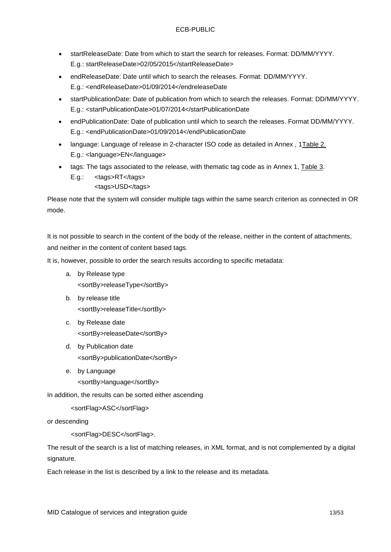- startReleaseDate: Date from which to start the search for releases. Format: DD/MM/YYYY. E.g.: startReleaseDate>02/05/2015</startReleaseDate>
- endReleaseDate: Date until which to search the releases. Format: DD/MM/YYYY. E.g.: <endReleaseDate>01/09/2014</endreleaseDate
- startPublicationDate: Date of publication from which to search the releases. Format: DD/MM/YYYY. E.g.: <startPublicationDate>01/07/2014</startPublicationDate
- endPublicationDate: Date of publication until which to search the releases. Format DD/MM/YYYY. E.g.: <endPublicationDate>01/09/2014</endPublicationDate
- language: Language of release in 2-character ISO code as detailed in Annex , [1Table 2.](#page-33-2) E.g.: <language>EN</language>
- tags: The tags associated to the release, with thematic tag code as in Annex 1, [Table 3.](#page-34-0) E.g.: <tags>RT</tags> <tags>USD</tags>

Please note that the system will consider multiple tags within the same search criterion as connected in OR mode.

It is not possible to search in the content of the body of the release, neither in the content of attachments, and neither in the content of content based tags.

It is, however, possible to order the search results according to specific metadata:

- a. by Release type <sortBy>releaseType</sortBy>
- b. by release title <sortBy>releaseTitle</sortBy>
- c. by Release date <sortBy>releaseDate</sortBy>
- d. by Publication date <sortBy>publicationDate</sortBy>
- e. by Language

<sortBy>language</sortBy>

In addition, the results can be sorted either ascending

<sortFlag>ASC</sortFlag>

or descending

<sortFlag>DESC</sortFlag>.

The result of the search is a list of matching releases, in XML format, and is not complemented by a digital signature.

Each release in the list is described by a link to the release and its metadata.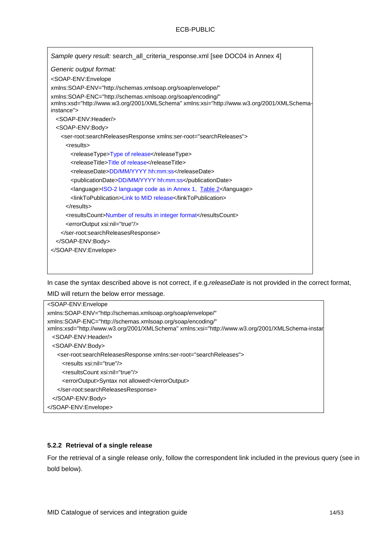| Sample query result: search_all_criteria_response.xml [see DOC04 in Annex 4]                                                                                          |
|-----------------------------------------------------------------------------------------------------------------------------------------------------------------------|
| Generic output format:                                                                                                                                                |
| <soap-env:envelope< td=""></soap-env:envelope<>                                                                                                                       |
| xmlns:SOAP-ENV="http://schemas.xmlsoap.org/soap/envelope/"                                                                                                            |
| xmlns:SOAP-ENC="http://schemas.xmlsoap.org/soap/encoding/"<br>xmlns:xsd="http://www.w3.org/2001/XMLSchema" xmlns:xsi="http://www.w3.org/2001/XMLSchema-<br>instance"> |
| <soap-env:header></soap-env:header>                                                                                                                                   |
| <soap-env:body></soap-env:body>                                                                                                                                       |
| <ser-root:searchreleasesresponse xmlns:ser-root="searchReleases"></ser-root:searchreleasesresponse>                                                                   |
| <results></results>                                                                                                                                                   |
| <releasetype>Type of release</releasetype>                                                                                                                            |
| <releasetitle>Title of release</releasetitle>                                                                                                                         |
| <releasedate>DD/MM/YYYY hh:mm:ss</releasedate>                                                                                                                        |
| <publicationdate>DD/MM/YYYY hh:mm:ss</publicationdate>                                                                                                                |
| <language>ISO-2 language code as in Annex 1, Table 2</language>                                                                                                       |
| <linktopublication>Link to MID release</linktopublication>                                                                                                            |
| $\langle$ results>                                                                                                                                                    |
| <resultscount>Number of results in integer format</resultscount>                                                                                                      |
| <erroroutput xsi:nil="true"></erroroutput>                                                                                                                            |
|                                                                                                                                                                       |
|                                                                                                                                                                       |
|                                                                                                                                                                       |
|                                                                                                                                                                       |
|                                                                                                                                                                       |

In case the syntax described above is not correct, if e.g.*releaseDate* is not provided in the correct format,

MID will return the below error message.

| <soap-env:envelope< th=""></soap-env:envelope<>                                                                                                               |
|---------------------------------------------------------------------------------------------------------------------------------------------------------------|
| xmlns:SOAP-ENV="http://schemas.xmlsoap.org/soap/envelope/"                                                                                                    |
| xmlns:SOAP-ENC="http://schemas.xmlsoap.org/soap/encoding/"<br>xmlns:xsd="http://www.w3.org/2001/XMLSchema" xmlns:xsi="http://www.w3.org/2001/XMLSchema-instar |
| <soap-fnv:header></soap-fnv:header>                                                                                                                           |
| <soap-env:body></soap-env:body>                                                                                                                               |
| <ser-root:searchreleasesresponse xmlns:ser-root="searchReleases"></ser-root:searchreleasesresponse>                                                           |
| <results xsi:nil="true"></results>                                                                                                                            |
| <resultscount xsi:nil="true"></resultscount>                                                                                                                  |
| <erroroutput>Syntax not allowed!</erroroutput>                                                                                                                |
|                                                                                                                                                               |
|                                                                                                                                                               |
|                                                                                                                                                               |

#### <span id="page-13-0"></span>**5.2.2 Retrieval of a single release**

For the retrieval of a single release only, follow the correspondent link included in the previous query (see in bold below).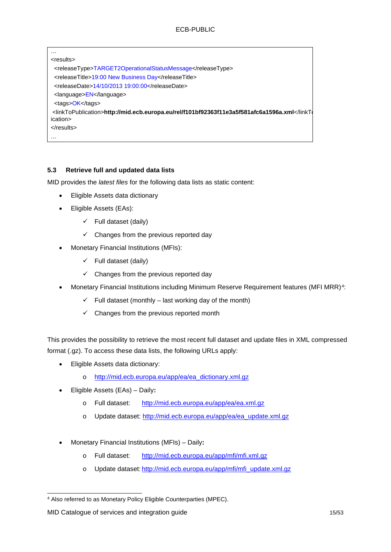| $\cdots$                                                                             |
|--------------------------------------------------------------------------------------|
| <results></results>                                                                  |
| <releasetype>TARGET2OperationalStatusMessage</releasetype>                           |
| <releasetitle>19:00 New Business Day</releasetitle>                                  |
| <releasedate>14/10/2013 19:00:00</releasedate>                                       |
| $\alpha$ -language > $EN$ $\alpha$ / language >                                      |
| <tags>OK</tags>                                                                      |
| /linkToPublication>http://mid.ecb.europa.eu/rel/f101bf92363f11e3a5f581afc6a1596a.xml |
| ication>                                                                             |
| $\langle$ results>                                                                   |
| .                                                                                    |

### <span id="page-14-0"></span>**5.3 Retrieve full and updated data lists**

MID provides the *latest files* for the following data lists as static content:

- Eligible Assets data dictionary
- Eligible Assets (EAs):
	- $\checkmark$  Full dataset (daily)
	- $\checkmark$  Changes from the previous reported day
- Monetary Financial Institutions (MFIs):
	- $\checkmark$  Full dataset (daily)
	- $\checkmark$  Changes from the previous reported day
- Monetary Financial Institutions including Minimum Reserve Requirement features (MFI MRR)[4:](#page-14-1)
	- $\checkmark$  Full dataset (monthly last working day of the month)
	- $\checkmark$  Changes from the previous reported month

This provides the possibility to retrieve the most recent full dataset and update files in XML compressed format (.gz). To access these data lists, the following URLs apply:

- Eligible Assets data dictionary:
	- o [http://mid.ecb.europa.eu/app/ea/ea\\_dictionary.xml.gz](http://mid.ecb.europa.eu/app/ea/ea_dictionary.xml.gz)
- Eligible Assets (EAs) Daily**:** 
	- o Full dataset: <http://mid.ecb.europa.eu/app/ea/ea.xml.gz>
	- o Update dataset: [http://mid.ecb.europa.eu/app/ea/ea\\_update.xml.gz](http://mid.ecb.europa.eu/app/ea/ea_update.xml.gz)
- Monetary Financial Institutions (MFIs) Daily**:** 
	- o Full dataset: <http://mid.ecb.europa.eu/app/mfi/mfi.xml.gz>
	- o Update dataset: [http://mid.ecb.europa.eu/app/mfi/mfi\\_update.xml.gz](http://mid.ecb.europa.eu/app/mfi/mfi_update.xml.gz)

<span id="page-14-1"></span><sup>4</sup> Also referred to as Monetary Policy Eligible Counterparties (MPEC).

MID Catalogue of services and integration guide 15/53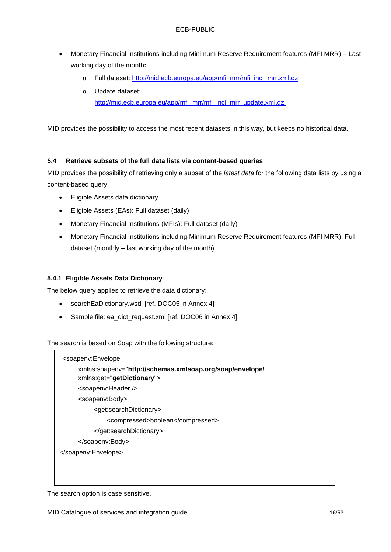- Monetary Financial Institutions including Minimum Reserve Requirement features (MFI MRR) Last working day of the month**:**
	- o Full dataset: [http://mid.ecb.europa.eu/app/mfi\\_mrr/mfi\\_incl\\_mrr.xml.gz](http://mid.ecb.europa.eu/app/mfi_mrr/mfi_incl_mrr.xml.gz)
	- o Update dataset: [http://mid.ecb.europa.eu/app/mfi\\_mrr/mfi\\_incl\\_mrr\\_update.xml.gz](http://mid.ecb.europa.eu/app/mfi_mrr/mfi_incl_mrr_update.xml.gz)

MID provides the possibility to access the most recent datasets in this way, but keeps no historical data.

#### <span id="page-15-0"></span>**5.4 Retrieve subsets of the full data lists via content-based queries**

MID provides the possibility of retrieving only a subset of the *latest data* for the following data lists by using a content-based query:

- Eligible Assets data dictionary
- Eligible Assets (EAs): Full dataset (daily)
- Monetary Financial Institutions (MFIs): Full dataset (daily)
- Monetary Financial Institutions including Minimum Reserve Requirement features (MFI MRR): Full dataset (monthly – last working day of the month)

#### <span id="page-15-1"></span>**5.4.1 Eligible Assets Data Dictionary**

The below query applies to retrieve the data dictionary:

- searchEaDictionary.wsdl [ref. DOC05 in Annex 4]
- Sample file: ea\_dict\_request.xml\_[ref. DOC06 in Annex 4]

The search is based on Soap with the following structure:



The search option is case sensitive.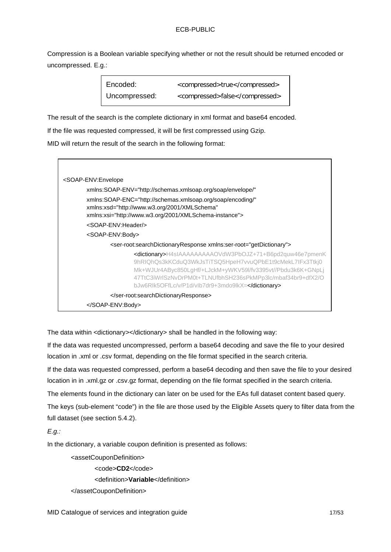Compression is a Boolean variable specifying whether or not the result should be returned encoded or uncompressed. E.g.:

| Encoded:      | <compressed>true</compressed>  |
|---------------|--------------------------------|
| Uncompressed: | <compressed>false</compressed> |

The result of the search is the complete dictionary in xml format and base64 encoded.

If the file was requested compressed, it will be first compressed using Gzip.

MID will return the result of the search in the following format:



The data within <dictionary></dictionary> shall be handled in the following way:

If the data was requested uncompressed, perform a base64 decoding and save the file to your desired location in .xml or .csv format, depending on the file format specified in the search criteria.

If the data was requested compressed, perform a base64 decoding and then save the file to your desired location in in .xml.gz or .csv.gz format, depending on the file format specified in the search criteria.

The elements found in the dictionary can later on be used for the EAs full dataset content based query.

The keys (sub-element "code") in the file are those used by the Eligible Assets query to filter data from the full dataset (see section 5.4.2).

*E.g.:*

In the dictionary, a variable coupon definition is presented as follows:

<assetCouponDefinition>

<code>**CD2**</code>

<definition>**Variable**</definition>

</assetCouponDefinition>

MID Catalogue of services and integration guide 17/53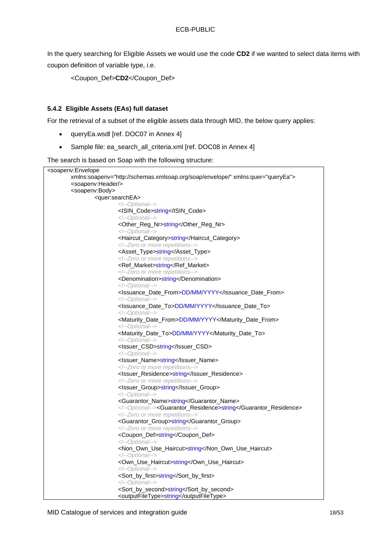In the query searching for Eligible Assets we would use the code **CD2** if we wanted to select data items with coupon definition of variable type, i.e.

<Coupon\_Def>**CD2**</Coupon\_Def>

#### <span id="page-17-0"></span>**5.4.2 Eligible Assets (EAs) full dataset**

For the retrieval of a subset of the eligible assets data through MID, the below query applies:

- queryEa.wsdl [ref. DOC07 in Annex 4]
- Sample file: ea\_search\_all\_criteria.xml [ref. DOC08 in Annex 4]

The search is based on Soap with the following structure:

| <soapenv:envelope< th=""></soapenv:envelope<>                                   |                                                            |  |  |
|---------------------------------------------------------------------------------|------------------------------------------------------------|--|--|
| xmlns:soapenv="http://schemas.xmlsoap.org/soap/envelope/" xmlns:quer="queryEa"> |                                                            |  |  |
| <soapenv:header></soapenv:header>                                               |                                                            |  |  |
| <soapenv:body></soapenv:body>                                                   |                                                            |  |  |
|                                                                                 | <guer:searchea></guer:searchea>                            |  |  |
|                                                                                 | Optional                                                   |  |  |
|                                                                                 | <isin_code>string</isin_code>                              |  |  |
|                                                                                 | Optional                                                   |  |  |
|                                                                                 | <other_reg_nr>string</other_reg_nr>                        |  |  |
|                                                                                 | Optional                                                   |  |  |
|                                                                                 | <haircut_category>string</haircut_category>                |  |  |
|                                                                                 | Zero or more repetitions                                   |  |  |
|                                                                                 | <asset_type>string</asset_type>                            |  |  |
|                                                                                 | Zero or more repetitions                                   |  |  |
|                                                                                 | <ref_market>string</ref_market>                            |  |  |
|                                                                                 | Zero or more repetitions                                   |  |  |
|                                                                                 | <denomination>string</denomination>                        |  |  |
|                                                                                 | Optional                                                   |  |  |
|                                                                                 | <lssuance_date_from>DD/MM/YYYY</lssuance_date_from>        |  |  |
|                                                                                 | Optional                                                   |  |  |
|                                                                                 | <lssuance_date_to>DD/MM/YYYY</lssuance_date_to>            |  |  |
|                                                                                 | Optional                                                   |  |  |
|                                                                                 | <maturity_date_from>DD/MM/YYYY</maturity_date_from>        |  |  |
|                                                                                 | Optional                                                   |  |  |
|                                                                                 | <maturity_date_to>DD/MM/YYYY</maturity_date_to>            |  |  |
|                                                                                 | Optional                                                   |  |  |
|                                                                                 | <lssuer_csd>string</lssuer_csd>                            |  |  |
|                                                                                 | Optional                                                   |  |  |
|                                                                                 | <lssuer_name>string</lssuer_name>                          |  |  |
|                                                                                 | Zero or more repetitions                                   |  |  |
|                                                                                 | <lssuer_residence>string</lssuer_residence>                |  |  |
|                                                                                 | Zero or more repetitions                                   |  |  |
|                                                                                 | <lssuer_group>string</lssuer_group>                        |  |  |
|                                                                                 | Optional                                                   |  |  |
|                                                                                 | <guarantor_name>string</guarantor_name>                    |  |  |
|                                                                                 | Optional <guarantor_residence>string</guarantor_residence> |  |  |
|                                                                                 | Zero or more repetitions                                   |  |  |
|                                                                                 | <guarantor_group>string</guarantor_group>                  |  |  |
|                                                                                 | Zero or more repetitions                                   |  |  |
|                                                                                 | <coupon_def>string</coupon_def>                            |  |  |
|                                                                                 | Optional                                                   |  |  |
|                                                                                 | <non_own_use_haircut>string</non_own_use_haircut>          |  |  |
|                                                                                 | Optional                                                   |  |  |
|                                                                                 | <own_use_haircut>string</own_use_haircut>                  |  |  |
|                                                                                 | Optional                                                   |  |  |
|                                                                                 | <sort_by_first>string</sort_by_first>                      |  |  |
|                                                                                 | Optional                                                   |  |  |
|                                                                                 | <sort_by_second>string</sort_by_second>                    |  |  |
|                                                                                 | <outputfiletype>string</outputfiletype>                    |  |  |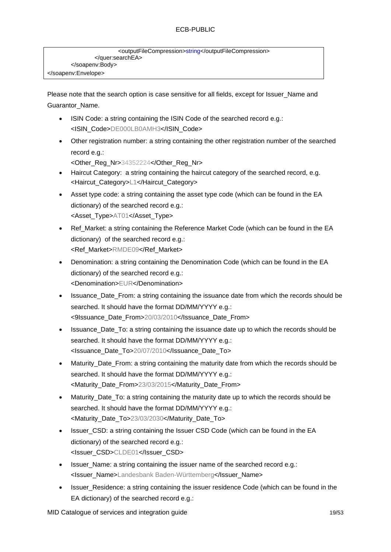```
<outputFileCompression>string</outputFileCompression>
                </quer:searchEA>
        </soapenv:Body>
</soapenv:Envelope>
```
Please note that the search option is case sensitive for all fields, except for Issuer\_Name and Guarantor\_Name.

- ISIN Code: a string containing the ISIN Code of the searched record e.g.: <ISIN\_Code>DE000LB0AMH3</ISIN\_Code>
- Other registration number: a string containing the other registration number of the searched record e.g.:

<Other\_Reg\_Nr>34352224</Other\_Reg\_Nr>

- Haircut Category: a string containing the haircut category of the searched record, e.g. <Haircut\_Category>L1</Haircut\_Category>
- Asset type code: a string containing the asset type code (which can be found in the EA dictionary) of the searched record e.g.: <Asset\_Type>AT01</Asset\_Type>
- Ref\_Market: a string containing the Reference Market Code (which can be found in the EA dictionary) of the searched record e.g.: <Ref\_Market>RMDE09</Ref\_Market>
- Denomination: a string containing the Denomination Code (which can be found in the EA dictionary) of the searched record e.g.: <Denomination>EUR</Denomination>
- Issuance Date From: a string containing the issuance date from which the records should be searched. It should have the format DD/MM/YYYY e.g.: <9Issuance\_Date\_From>20/03/2010</Issuance\_Date\_From>
- Issuance Date To: a string containing the issuance date up to which the records should be searched. It should have the format DD/MM/YYYY e.g.: <Issuance\_Date\_To>20/07/2010</Issuance\_Date\_To>
- Maturity Date From: a string containing the maturity date from which the records should be searched. It should have the format DD/MM/YYYY e.g.: <Maturity\_Date\_From>23/03/2015</Maturity\_Date\_From>
- Maturity Date To: a string containing the maturity date up to which the records should be searched. It should have the format DD/MM/YYYY e.g.: <Maturity\_Date\_To>23/03/2030</Maturity\_Date\_To>
- Issuer CSD: a string containing the Issuer CSD Code (which can be found in the EA dictionary) of the searched record e.g.: <Issuer\_CSD>CLDE01</Issuer\_CSD>
- Issuer Name: a string containing the issuer name of the searched record e.g.: <Issuer\_Name>Landesbank Baden-Württemberg</Issuer\_Name>
- Issuer Residence: a string containing the issuer residence Code (which can be found in the EA dictionary) of the searched record e.g.:

MID Catalogue of services and integration guide 19/53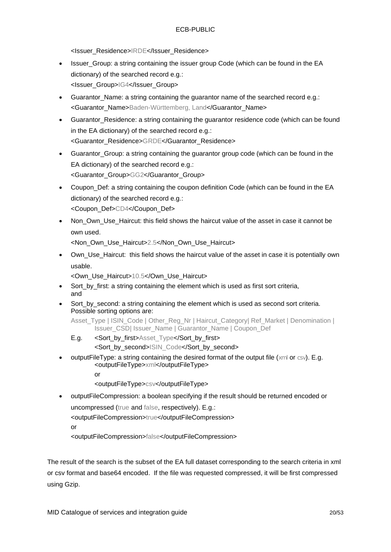<Issuer\_Residence>IRDE</Issuer\_Residence>

- Issuer Group: a string containing the issuer group Code (which can be found in the EA dictionary) of the searched record e.g.: <Issuer\_Group>IG4</Issuer\_Group>
- Guarantor Name: a string containing the guarantor name of the searched record e.g.: <Guarantor\_Name>Baden-Württemberg, Land</Guarantor\_Name>
- Guarantor Residence: a string containing the guarantor residence code (which can be found in the EA dictionary) of the searched record e.g.: <Guarantor\_Residence>GRDE</Guarantor\_Residence>
- Guarantor\_Group: a string containing the guarantor group code (which can be found in the EA dictionary) of the searched record e.g.: <Guarantor\_Group>GG2</Guarantor\_Group>
- Coupon Def: a string containing the coupon definition Code (which can be found in the EA dictionary) of the searched record e.g.: <Coupon\_Def>CD4</Coupon\_Def>
- Non\_Own\_Use\_Haircut: this field shows the haircut value of the asset in case it cannot be own used.

<Non\_Own\_Use\_Haircut>2.5</Non\_Own\_Use\_Haircut>

• Own\_Use\_Haircut: this field shows the haircut value of the asset in case it is potentially own usable.

<Own\_Use\_Haircut>10.5</Own\_Use\_Haircut>

- Sort by first: a string containing the element which is used as first sort criteria, and
- Sort\_by\_second: a string containing the element which is used as second sort criteria. Possible sorting options are:

Asset Type | ISIN\_Code | Other\_Reg\_Nr | Haircut\_Category| Ref\_Market | Denomination | Issuer\_CSD| Issuer\_Name | Guarantor\_Name | Coupon\_Def

- E.g. <Sort\_by\_first>Asset\_Type</Sort\_by\_first> <Sort\_by\_second>ISIN\_Code</Sort\_by\_second>
- outputFileType: a string containing the desired format of the output file (xml or csv). E.g. <outputFileType>xml</outputFileType>

or

- <outputFileType>csv</outputFileType>
- outputFileCompression: a boolean specifying if the result should be returned encoded or uncompressed (true and false, respectively). E.g.: <outputFileCompression>true</outputFileCompression>

or

<outputFileCompression>false</outputFileCompression>

The result of the search is the subset of the EA full dataset corresponding to the search criteria in xml or csv format and base64 encoded. If the file was requested compressed, it will be first compressed using Gzip.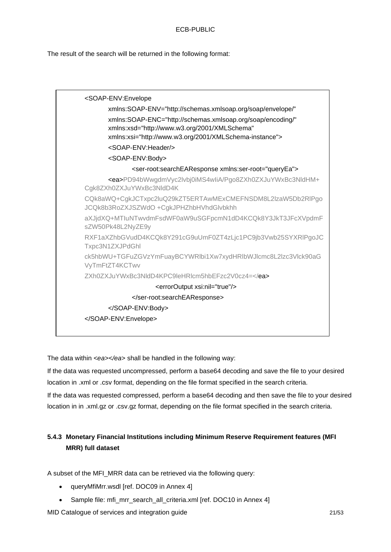The result of the search will be returned in the following format:



The data within *<ea></ea>* shall be handled in the following way:

If the data was requested uncompressed, perform a base64 decoding and save the file to your desired location in .xml or .csv format, depending on the file format specified in the search criteria.

If the data was requested compressed, perform a base64 decoding and then save the file to your desired location in in .xml.gz or .csv.gz format, depending on the file format specified in the search criteria.

# <span id="page-20-0"></span>**5.4.3 Monetary Financial Institutions including Minimum Reserve Requirement features (MFI MRR) full dataset**

A subset of the MFI\_MRR data can be retrieved via the following query:

- queryMfiMrr.wsdl [ref. DOC09 in Annex 4]
- Sample file: mfi\_mrr\_search\_all\_criteria.xml [ref. DOC10 in Annex 4]

MID Catalogue of services and integration guide 21/53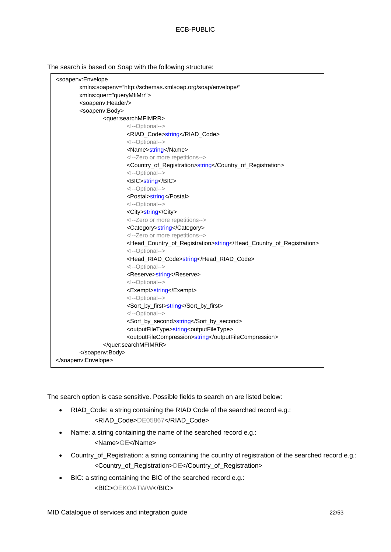The search is based on Soap with the following structure:

| <soapenv:envelope< th=""><th></th></soapenv:envelope<>                   |  |  |  |
|--------------------------------------------------------------------------|--|--|--|
| xmlns:soapenv="http://schemas.xmlsoap.org/soap/envelope/"                |  |  |  |
| xmlns:quer="queryMfiMrr">                                                |  |  |  |
| <soapenv:header></soapenv:header>                                        |  |  |  |
| <soapenv:body></soapenv:body>                                            |  |  |  |
| <quer:searchmfimrr></quer:searchmfimrr>                                  |  |  |  |
| Optional                                                                 |  |  |  |
| <riad_code>string</riad_code>                                            |  |  |  |
| Optional                                                                 |  |  |  |
| <name>string</name>                                                      |  |  |  |
| Zero or more repetitions                                                 |  |  |  |
| <country_of_registration>string</country_of_registration>                |  |  |  |
| Optional                                                                 |  |  |  |
| <bic>string</bic>                                                        |  |  |  |
| Optional                                                                 |  |  |  |
| <postal>string</postal>                                                  |  |  |  |
| Optional                                                                 |  |  |  |
| <city>string</city>                                                      |  |  |  |
| Zero or more repetitions                                                 |  |  |  |
| <category>string</category>                                              |  |  |  |
| Zero or more repetitions                                                 |  |  |  |
| <head_country_of_registration>string</head_country_of_registration>      |  |  |  |
| Optional                                                                 |  |  |  |
| <head_riad_code>string</head_riad_code>                                  |  |  |  |
| Optional                                                                 |  |  |  |
| <reserve>string</reserve>                                                |  |  |  |
| Optional                                                                 |  |  |  |
| <exempt>string</exempt>                                                  |  |  |  |
| Optional                                                                 |  |  |  |
| <sort_by_first>string</sort_by_first>                                    |  |  |  |
| Optional                                                                 |  |  |  |
| <sort_by_second>string</sort_by_second>                                  |  |  |  |
| <outputfiletype>string<outputfiletype></outputfiletype></outputfiletype> |  |  |  |
| <outputfilecompression>string</outputfilecompression>                    |  |  |  |
|                                                                          |  |  |  |
|                                                                          |  |  |  |
|                                                                          |  |  |  |

The search option is case sensitive. Possible fields to search on are listed below:

- RIAD\_Code: a string containing the RIAD Code of the searched record e.g.: <RIAD\_Code>DE05867</RIAD\_Code>
- Name: a string containing the name of the searched record e.g.: <Name>GE</Name>
- Country\_of\_Registration: a string containing the country of registration of the searched record e.g.: <Country\_of\_Registration>DE</Country\_of\_Registration>
- BIC: a string containing the BIC of the searched record e.g.: <BIC>OEKOATWW</BIC>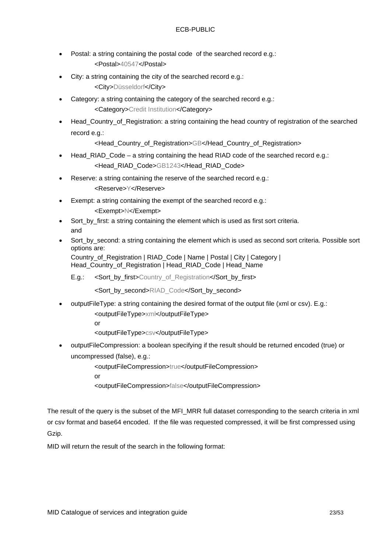- Postal: a string containing the postal code of the searched record e.g.: <Postal>40547</Postal>
- City: a string containing the city of the searched record e.g.: <City>Düsseldorf</City>
- Category: a string containing the category of the searched record e.g.: <Category>Credit Institution</Category>
- Head Country of Registration: a string containing the head country of registration of the searched record e.g.:

<Head\_Country\_of\_Registration>GB</Head\_Country\_of\_Registration>

- Head RIAD Code a string containing the head RIAD code of the searched record e.g.: <Head\_RIAD\_Code>GB1243</Head\_RIAD\_Code>
- Reserve: a string containing the reserve of the searched record e.g.:

<Reserve>Y</Reserve>

- Exempt: a string containing the exempt of the searched record e.g.:
	- <Exempt>N</Exempt>
- Sort by first: a string containing the element which is used as first sort criteria. and
- Sort by second: a string containing the element which is used as second sort criteria. Possible sort options are:

Country\_of\_Registration | RIAD\_Code | Name | Postal | City | Category | Head\_Country\_of\_Registration | Head\_RIAD\_Code | Head\_Name

E.g.: < Sort by first>Country of Registration</Sort by first>

<Sort\_by\_second>RIAD\_Code</Sort\_by\_second>

- outputFileType: a string containing the desired format of the output file (xml or csv). E.g.:
	- <outputFileType>xml</outputFileType>

or

<outputFileType>csv</outputFileType>

• outputFileCompression: a boolean specifying if the result should be returned encoded (true) or uncompressed (false), e.g.:

<outputFileCompression>true</outputFileCompression>

or

<outputFileCompression>false</outputFileCompression>

The result of the query is the subset of the MFI\_MRR full dataset corresponding to the search criteria in xml or csv format and base64 encoded. If the file was requested compressed, it will be first compressed using Gzip.

MID will return the result of the search in the following format: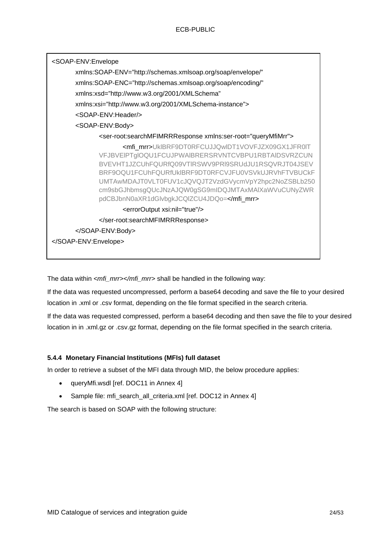| xmlns:xsd="http://www.w3.org/2001/XMLSchema"<br>xmlns:xsi="http://www.w3.org/2001/XMLSchema-instance"><br><soap-env:header></soap-env:header><br><soap-env:body><br/><ser-root:searchmfimrrresponse xmlns:ser-root="queryMfiMrr"><br/><mfi_mrr>UkIBRF9DT0RFCUJJQwIDT1VOVFJZX09GX1JFR0IT<br/>VFJBVEIPTgIOQU1FCUJPWAIBRERSRVNTCVBPU1RBTAIDSVRZCUN<br/>BVEVHT1JZCUhFQURfQ09VTIRSWV9PRI9SRUdJU1RSQVRJT04JSEV<br/>BRF9OQU1FCUhFQURfUkIBRF9DT0RFCVJFU0VSVkUJRVhFTVBUCkF<br/>UMTAwMDAJT0VLT0FUV1cJQVQJT2VzdGVycmVpY2hpc2NoZSBLb250<br/>cm9sbGJhbmsgQUcJNzAJQW0gSG9mIDQJMTAxMAIXaWVuCUNyZWR<br/>pdCBJbnN0aXR1dGlvbgkJCQlZCU4JDQo=</mfi_mrr><br/><erroroutput xsi:nil="true"></erroroutput><br/></ser-root:searchmfimrrresponse><br/></soap-env:body><br> | <soap-env:envelope<br>xmlns:SOAP-ENV="http://schemas.xmlsoap.org/soap/envelope/"<br/>xmlns:SOAP-ENC="http://schemas.xmlsoap.org/soap/encoding/"</soap-env:envelope<br> |  |  |
|--------------------------------------------------------------------------------------------------------------------------------------------------------------------------------------------------------------------------------------------------------------------------------------------------------------------------------------------------------------------------------------------------------------------------------------------------------------------------------------------------------------------------------------------------------------------------------------------------------------------------------------------------------------------------------------------------------------------------------------------------|------------------------------------------------------------------------------------------------------------------------------------------------------------------------|--|--|
|                                                                                                                                                                                                                                                                                                                                                                                                                                                                                                                                                                                                                                                                                                                                                  |                                                                                                                                                                        |  |  |
|                                                                                                                                                                                                                                                                                                                                                                                                                                                                                                                                                                                                                                                                                                                                                  |                                                                                                                                                                        |  |  |
|                                                                                                                                                                                                                                                                                                                                                                                                                                                                                                                                                                                                                                                                                                                                                  |                                                                                                                                                                        |  |  |
|                                                                                                                                                                                                                                                                                                                                                                                                                                                                                                                                                                                                                                                                                                                                                  |                                                                                                                                                                        |  |  |
|                                                                                                                                                                                                                                                                                                                                                                                                                                                                                                                                                                                                                                                                                                                                                  |                                                                                                                                                                        |  |  |
|                                                                                                                                                                                                                                                                                                                                                                                                                                                                                                                                                                                                                                                                                                                                                  |                                                                                                                                                                        |  |  |
|                                                                                                                                                                                                                                                                                                                                                                                                                                                                                                                                                                                                                                                                                                                                                  |                                                                                                                                                                        |  |  |
|                                                                                                                                                                                                                                                                                                                                                                                                                                                                                                                                                                                                                                                                                                                                                  |                                                                                                                                                                        |  |  |
|                                                                                                                                                                                                                                                                                                                                                                                                                                                                                                                                                                                                                                                                                                                                                  |                                                                                                                                                                        |  |  |
|                                                                                                                                                                                                                                                                                                                                                                                                                                                                                                                                                                                                                                                                                                                                                  |                                                                                                                                                                        |  |  |

The data within *<mfi\_mrr></mfi\_mrr>* shall be handled in the following way:

If the data was requested uncompressed, perform a base64 decoding and save the file to your desired location in .xml or .csv format, depending on the file format specified in the search criteria.

If the data was requested compressed, perform a base64 decoding and then save the file to your desired location in in .xml.gz or .csv.gz format, depending on the file format specified in the search criteria.

#### <span id="page-23-0"></span>**5.4.4 Monetary Financial Institutions (MFIs) full dataset**

In order to retrieve a subset of the MFI data through MID, the below procedure applies:

- queryMfi.wsdl [ref. DOC11 in Annex 4]
- Sample file: mfi\_search\_all\_criteria.xml [ref. DOC12 in Annex 4]

The search is based on SOAP with the following structure: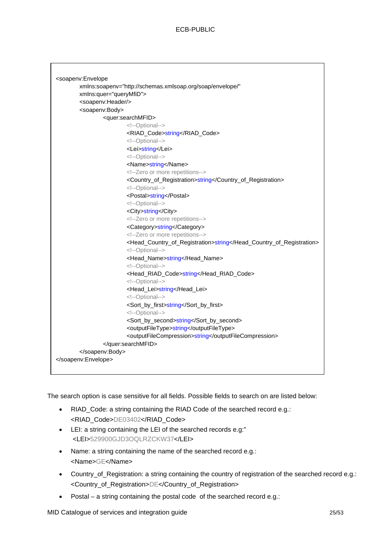| <soapenv:envelope< th=""><th></th></soapenv:envelope<> |                                                                     |
|--------------------------------------------------------|---------------------------------------------------------------------|
|                                                        | xmlns:soapenv="http://schemas.xmlsoap.org/soap/envelope/"           |
| xmlns:quer="queryMfiD">                                |                                                                     |
| <soapenv:header></soapenv:header>                      |                                                                     |
| <soapenv:body></soapenv:body>                          |                                                                     |
|                                                        | <quer:searchmfid></quer:searchmfid>                                 |
|                                                        | Optional                                                            |
|                                                        | <riad_code>string</riad_code>                                       |
|                                                        | Optional                                                            |
|                                                        | <lei>string</lei>                                                   |
|                                                        | Optional                                                            |
|                                                        | <name>string</name>                                                 |
|                                                        | Zero or more repetitions                                            |
|                                                        | <country_of_registration>string</country_of_registration>           |
|                                                        | Optional                                                            |
|                                                        | <postal>string</postal>                                             |
|                                                        | Optional                                                            |
|                                                        | <city>string</city>                                                 |
|                                                        | Zero or more repetitions                                            |
|                                                        | <category>string</category>                                         |
|                                                        | Zero or more repetitions                                            |
|                                                        | <head_country_of_registration>string</head_country_of_registration> |
|                                                        | Optional                                                            |
|                                                        | <head_name>string</head_name>                                       |
|                                                        | Optional                                                            |
|                                                        | <head_riad_code>string</head_riad_code>                             |
|                                                        | Optional                                                            |
|                                                        | <head_lei>string</head_lei>                                         |
|                                                        | Optional                                                            |
|                                                        | <sort_by_first>string</sort_by_first>                               |
|                                                        | Optional                                                            |
|                                                        | <sort_by_second>string</sort_by_second>                             |
|                                                        | <outputfiletype>string</outputfiletype>                             |
|                                                        | <outputfilecompression>string</outputfilecompression>               |
|                                                        |                                                                     |
|                                                        |                                                                     |
|                                                        |                                                                     |
|                                                        |                                                                     |

The search option is case sensitive for all fields. Possible fields to search on are listed below:

- RIAD Code: a string containing the RIAD Code of the searched record e.g.: <RIAD\_Code>DE03402</RIAD\_Code>
- LEI: a string containing the LEI of the searched records e.g:" <LEI>529900GJD3OQLRZCKW37</LEI>
- Name: a string containing the name of the searched record e.g.: <Name>GE</Name>
- Country\_of\_Registration: a string containing the country of registration of the searched record e.g.: <Country\_of\_Registration>DE</Country\_of\_Registration>
- Postal a string containing the postal code of the searched record e.g.:

MID Catalogue of services and integration guide 25/53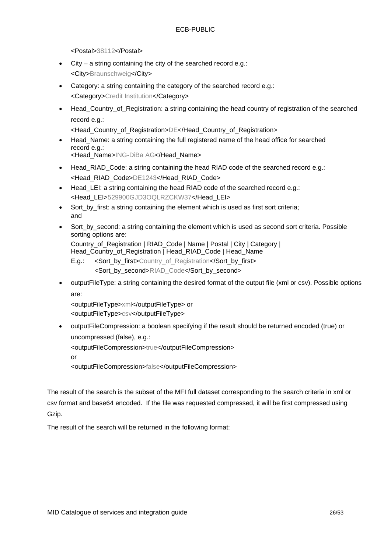<Postal>38112</Postal>

- City a string containing the city of the searched record e.g.: <City>Braunschweig</City>
- Category: a string containing the category of the searched record e.g.: <Category>Credit Institution</Category>
- Head\_Country\_of\_Registration: a string containing the head country of registration of the searched record e.g.:

<Head\_Country\_of\_Registration>DE</Head\_Country\_of\_Registration>

- Head\_Name: a string containing the full registered name of the head office for searched record e.g.: <Head\_Name>ING-DiBa AG</Head\_Name>
- Head RIAD Code: a string containing the head RIAD code of the searched record e.g.: <Head\_RIAD\_Code>DE1243</Head\_RIAD\_Code>
- Head\_LEI: a string containing the head RIAD code of the searched record e.g.: <Head\_LEI>529900GJD3OQLRZCKW37</Head\_LEI>
- Sort by first: a string containing the element which is used as first sort criteria; and
- Sort by second: a string containing the element which is used as second sort criteria. Possible sorting options are:

Country\_of\_Registration | RIAD\_Code | Name | Postal | City | Category | Head\_Country\_of\_Registration | Head\_RIAD\_Code | Head\_Name

- E.g.: < Sort by first>Country of Registration</Sort by first> <Sort\_by\_second>RIAD\_Code</Sort\_by\_second>
- outputFileType: a string containing the desired format of the output file (xml or csv). Possible options are:

<outputFileType>xml</outputFileType> or <outputFileType>csv</outputFileType>

• outputFileCompression: a boolean specifying if the result should be returned encoded (true) or uncompressed (false), e.g.:

<outputFileCompression>true</outputFileCompression>

or

<outputFileCompression>false</outputFileCompression>

The result of the search is the subset of the MFI full dataset corresponding to the search criteria in xml or csv format and base64 encoded. If the file was requested compressed, it will be first compressed using Gzip.

The result of the search will be returned in the following format: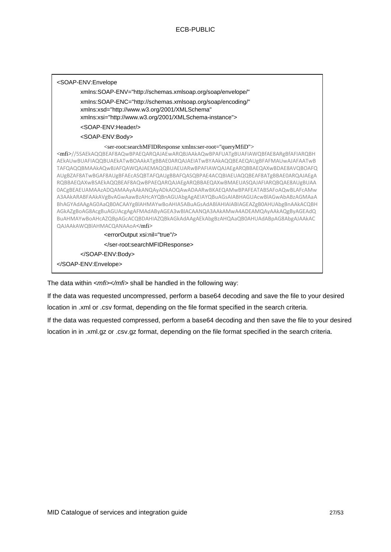| <soap-env:envelope< th=""></soap-env:envelope<>                                                                                                                                                                                                                                                                                                                                                                                                                                                                                                                                                                                                                                                                                                                                                                                                                                                                                                                                                  |
|--------------------------------------------------------------------------------------------------------------------------------------------------------------------------------------------------------------------------------------------------------------------------------------------------------------------------------------------------------------------------------------------------------------------------------------------------------------------------------------------------------------------------------------------------------------------------------------------------------------------------------------------------------------------------------------------------------------------------------------------------------------------------------------------------------------------------------------------------------------------------------------------------------------------------------------------------------------------------------------------------|
| xmlns:SOAP-ENV="http://schemas.xmlsoap.org/soap/envelope/"                                                                                                                                                                                                                                                                                                                                                                                                                                                                                                                                                                                                                                                                                                                                                                                                                                                                                                                                       |
| xmlns:SOAP-ENC="http://schemas.xmlsoap.org/soap/encoding/"<br>xmlns:xsd="http://www.w3.org/2001/XMLSchema"<br>xmlns:xsi="http://www.w3.org/2001/XMLSchema-instance">                                                                                                                                                                                                                                                                                                                                                                                                                                                                                                                                                                                                                                                                                                                                                                                                                             |
| <soap-fnv:header></soap-fnv:header>                                                                                                                                                                                                                                                                                                                                                                                                                                                                                                                                                                                                                                                                                                                                                                                                                                                                                                                                                              |
| <soap-env:body></soap-env:body>                                                                                                                                                                                                                                                                                                                                                                                                                                                                                                                                                                                                                                                                                                                                                                                                                                                                                                                                                                  |
| <ser-root:searchmfidresponse xmlns:ser-root="queryMfiD"><br/><mfi>//5SAEkAQQBEAF8AQwBPAEQARQAJAEwARQBJAAkAQwBPAFUATgBUAFIAWQBfAE8ARgBfAFIARQBH<br/>AEkAUwBUAFIAQQBUAEkATwBOAAkATgBBAE0ARQAJAEIATwBYAAkAQQBEAEQAUgBFAFMAUwAJAFAATwB<br/>TAFQAQQBMAAkAQwBJAFQAWQAJAEMAQQBUAEUARwBPAFIAWQAJAEgARQBBAEQAXwBDAE8AVQBOAFQ<br/>AUgBZAF8ATwBGAF8AUgBFAEcASQBTAFQAUgBBAFQASQBPAE4ACQBIAEUAQQBEAF8ATgBBAE0ARQAJAEgA<br/>RQBBAEQAXwBSAEkAQQBEAF8AQwBPAEQARQAJAEgARQBBAEQAXwBMAEUASQAJAFIARQBQAE8AUgBUAA<br/>OACgBEAEUAMAAzADQAMAAyAAkANQAyADkAOQAwADAARwBKAEQAMwBPAFEATABSAFoAQwBLAFcAMw<br/>A3AAkARABFAAkAVgBvAGwAawBzAHcAYQBnAGUAbgAgAEIAYQBuAGsAIABHAGUAcwBlAGwAbABzAGMAaA<br/>BhAGYAdAAgAG0AaQB0ACAAYgBlAHMAYwBoAHIA5ABuAGsAdABlAHIAIABIAGEAZgB0AHUAbgBnAAkACQBH<br/>AGkAZgBoAG8AcgBuAGUAcgAgAFMAdAByAGEA3wBlACAANQA3AAkAMwA4ADEAMQAyAAkAQgByAGEAdQ<br/>BuAHMAYwBoAHcAZQBpAGcACQBDAHIAZQBkAGkAdAAgAEkAbgBzAHQAaQB0AHUAdABpAG8AbgAJAAkAC<br/>QAJAAkAWQBIAHMACQANAAoA</mfi></ser-root:searchmfidresponse> |
| <erroroutput xsi:nil="true"></erroroutput>                                                                                                                                                                                                                                                                                                                                                                                                                                                                                                                                                                                                                                                                                                                                                                                                                                                                                                                                                       |
|                                                                                                                                                                                                                                                                                                                                                                                                                                                                                                                                                                                                                                                                                                                                                                                                                                                                                                                                                                                                  |
|                                                                                                                                                                                                                                                                                                                                                                                                                                                                                                                                                                                                                                                                                                                                                                                                                                                                                                                                                                                                  |
|                                                                                                                                                                                                                                                                                                                                                                                                                                                                                                                                                                                                                                                                                                                                                                                                                                                                                                                                                                                                  |

The data within <*mfi></mfi>* shall be handled in the following way:

If the data was requested uncompressed, perform a base64 decoding and save the file to your desired location in .xml or .csv format, depending on the file format specified in the search criteria.

If the data was requested compressed, perform a base64 decoding and then save the file to your desired location in in .xml.gz or .csv.gz format, depending on the file format specified in the search criteria.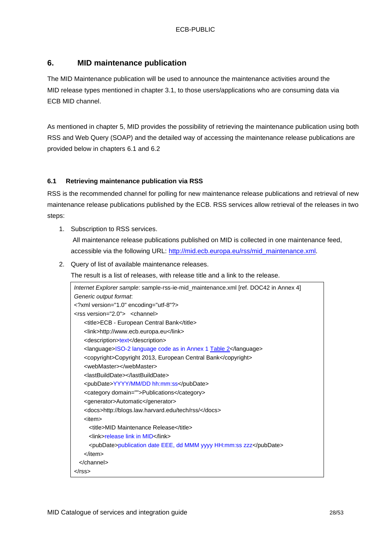# <span id="page-27-0"></span>**6. MID maintenance publication**

The MID Maintenance publication will be used to announce the maintenance activities around the MID release types mentioned in chapter [3.1,](#page-4-1) to those users/applications who are consuming data via ECB MID channel.

As mentioned in chapter 5, MID provides the possibility of retrieving the maintenance publication using both RSS and Web Query (SOAP) and the detailed way of accessing the maintenance release publications are provided below in chapters 6.1 and 6.2

### <span id="page-27-1"></span>**6.1 Retrieving maintenance publication via RSS**

RSS is the recommended channel for polling for new maintenance release publications and retrieval of new maintenance release publications published by the ECB. RSS services allow retrieval of the releases in two steps:

1. Subscription to RSS services.

All maintenance release publications published on MID is collected in one maintenance feed, accessible via the following URL: [http://mid.ecb.europa.eu/rss/mid\\_maintenance.xml.](http://mid.ecb.europa.eu/rss/mid_maintenance.xml)

2. Query of list of available maintenance releases.

The result is a list of releases, with release title and a link to the release.

| Internet Explorer sample: sample-rss-ie-mid_maintenance.xml [ref. DOC42 in Annex 4] |
|-------------------------------------------------------------------------------------|
| Generic output format.                                                              |
| xml version="1.0" encoding="utf-8"?                                                 |
| <rss version="2.0"> <channel></channel></rss>                                       |
| <title>ECB - European Central Bank</title>                                          |
| <link/> http://www.ecb.europa.eu                                                    |
| <description>text</description>                                                     |
| <language>ISO-2 language code as in Annex 1 Table 2</language>                      |
| <copyright>Copyright 2013, European Central Bank</copyright>                        |
| <webmaster></webmaster>                                                             |
| <lastbuilddate></lastbuilddate>                                                     |
| <pubdate>YYYY/MM/DD hh:mm:ss</pubdate>                                              |
| <category domain="">Publications</category>                                         |
| <generator>Automatic</generator>                                                    |
| <docs>http://blogs.law.harvard.edu/tech/rss/</docs>                                 |
| <item></item>                                                                       |
| <title>MID Maintenance Release</title>                                              |
| <link/> release link in MID                                                         |
| <pubdate>publication date EEE, dd MMM yyyy HH:mm:ss zzz</pubdate>                   |
|                                                                                     |
| $<$ /channel>                                                                       |
|                                                                                     |
|                                                                                     |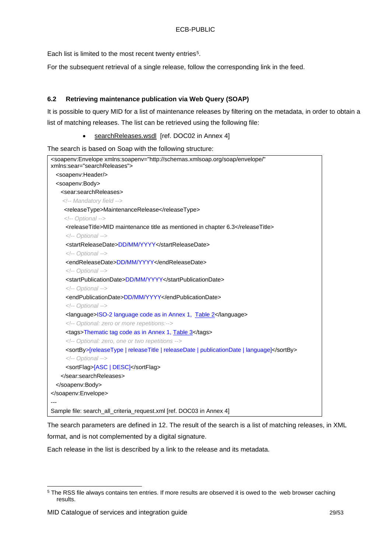Each list is limited to the most recent twenty entries<sup>[5](#page-28-1)</sup>.

For the subsequent retrieval of a single release, follow the corresponding link in the feed.

#### <span id="page-28-0"></span>**6.2 Retrieving maintenance publication via Web Query (SOAP)**

It is possible to query MID for a list of maintenance releases by filtering on the metadata, in order to obtain a list of matching releases. The list can be retrieved using the following file:

• searchReleases.wsdl [ref. DOC02 in Annex 4]

The search is based on Soap with the following structure:

| <soapenv:envelope <br="" xmlns:soapenv="http://schemas.xmlsoap.org/soap/envelope/">xmlns:sear="searchReleases"&gt;</soapenv:envelope> |
|---------------------------------------------------------------------------------------------------------------------------------------|
| <soapenv:header></soapenv:header>                                                                                                     |
| <soapenv:body></soapenv:body>                                                                                                         |
| <sear:searchreleases></sear:searchreleases>                                                                                           |
| Mandatory field                                                                                                                       |
| <releasetype>MaintenanceRelease</releasetype>                                                                                         |
| Optional                                                                                                                              |
| <releasetitle>MID maintenance title as mentioned in chapter 6.3</releasetitle>                                                        |
| Optional                                                                                                                              |
| <startreleasedate>DD/MM/YYYY</startreleasedate>                                                                                       |
| Optional                                                                                                                              |
| <endreleasedate>DD/MM/YYYY</endreleasedate>                                                                                           |
| Optional                                                                                                                              |
| <startpublicationdate>DD/MM/YYYY</startpublicationdate>                                                                               |
| Optional                                                                                                                              |
| <endpublicationdate>DD/MM/YYYY</endpublicationdate>                                                                                   |
| Optional                                                                                                                              |
| <language>ISO-2 language code as in Annex 1, Table 2</language>                                                                       |
| Optional: zero or more repetitions:                                                                                                   |
| <tags>Thematic tag code as in Annex 1, Table 3</tags>                                                                                 |
| Optional: zero, one or two repetitions                                                                                                |
| <sortby>[releaseType   releaseTitle   releaseDate   publicationDate   language]</sortby>                                              |
| Optional                                                                                                                              |
| <sortflag>[ASC   DESC]</sortflag>                                                                                                     |
|                                                                                                                                       |
|                                                                                                                                       |
|                                                                                                                                       |
|                                                                                                                                       |
| Sample file: search_all_criteria_request.xml [ref. DOC03 in Annex 4]                                                                  |

The search parameters are defined in [12.](#page-11-0) The result of the search is a list of matching releases, in XML format, and is not complemented by a digital signature.

Each release in the list is described by a link to the release and its metadata.

<span id="page-28-1"></span><sup>&</sup>lt;sup>5</sup> The RSS file always contains ten entries. If more results are observed it is owed to the web browser caching results.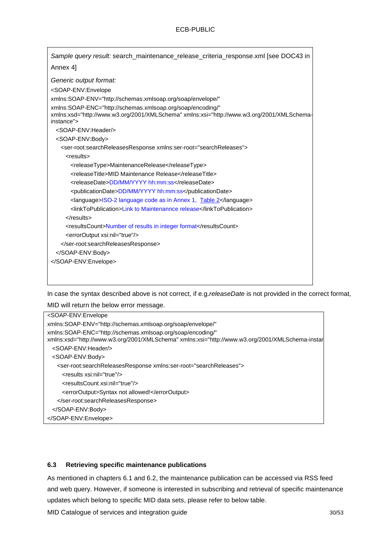In case the syntax described above is not correct, if e.g.*releaseDate* is not provided in the correct format,

MID will return the below error message.

| <soap-env:envelope< th=""></soap-env:envelope<>                                                                                                               |
|---------------------------------------------------------------------------------------------------------------------------------------------------------------|
| xmlns:SOAP-ENV="http://schemas.xmlsoap.org/soap/envelope/"                                                                                                    |
| xmlns:SOAP-ENC="http://schemas.xmlsoap.org/soap/encoding/"<br>xmlns:xsd="http://www.w3.org/2001/XMLSchema" xmlns:xsi="http://www.w3.org/2001/XMLSchema-instar |
| <soap-env:header></soap-env:header>                                                                                                                           |
| <soap-env:body></soap-env:body>                                                                                                                               |
| <ser-root:searchreleasesresponse xmlns:ser-root="searchReleases"></ser-root:searchreleasesresponse>                                                           |
| <results xsi:nil="true"></results>                                                                                                                            |
| <resultscount xsi:nil="true"></resultscount>                                                                                                                  |
| <erroroutput>Syntax not allowed!</erroroutput>                                                                                                                |
|                                                                                                                                                               |
|                                                                                                                                                               |
|                                                                                                                                                               |

#### <span id="page-29-0"></span>**6.3 Retrieving specific maintenance publications**

As mentioned in chapters 6.1 and 6.2, the maintenance publication can be accessed via RSS feed and web query. However, if someone is interested in subscribing and retrieval of specific maintenance updates which belong to specific MID data sets, please refer to below table.

MID Catalogue of services and integration guide 30/53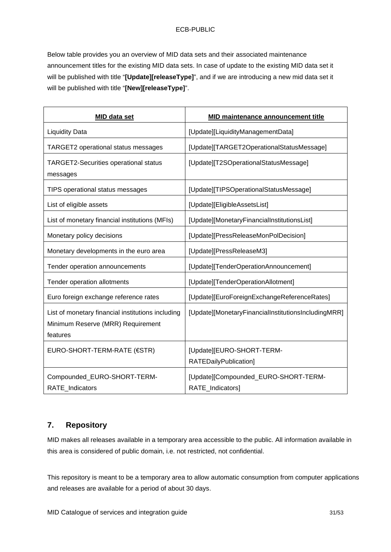### ECB-PUBLIC

Below table provides you an overview of MID data sets and their associated maintenance announcement titles for the existing MID data sets. In case of update to the existing MID data set it will be published with title "**[Update][releaseType]**", and if we are introducing a new mid data set it will be published with title "**[New][releaseType]**".

| <b>MID data set</b>                                                                                | <b>MID maintenance announcement title</b>                |
|----------------------------------------------------------------------------------------------------|----------------------------------------------------------|
| <b>Liquidity Data</b>                                                                              | [Update][LiquidityManagementData]                        |
| TARGET2 operational status messages                                                                | [Update][TARGET2OperationalStatusMessage]                |
| <b>TARGET2-Securities operational status</b><br>messages                                           | [Update][T2SOperationalStatusMessage]                    |
| TIPS operational status messages                                                                   | [Update][TIPSOperationalStatusMessage]                   |
| List of eligible assets                                                                            | [Update][EligibleAssetsList]                             |
| List of monetary financial institutions (MFIs)                                                     | [Update][MonetaryFinancialInstitutionsList]              |
| Monetary policy decisions                                                                          | [Update][PressReleaseMonPolDecision]                     |
| Monetary developments in the euro area                                                             | [Update][PressReleaseM3]                                 |
| Tender operation announcements                                                                     | [Update][TenderOperationAnnouncement]                    |
| Tender operation allotments                                                                        | [Update][TenderOperationAllotment]                       |
| Euro foreign exchange reference rates                                                              | [Update][EuroForeignExchangeReferenceRates]              |
| List of monetary financial institutions including<br>Minimum Reserve (MRR) Requirement<br>features | [Update][MonetaryFinancialInstitutionsIncludingMRR]      |
| EURO-SHORT-TERM-RATE (€STR)                                                                        | [Update][EURO-SHORT-TERM-<br>RATEDailyPublication]       |
| Compounded_EURO-SHORT-TERM-<br>RATE_Indicators                                                     | [Update][Compounded_EURO-SHORT-TERM-<br>RATE_Indicators] |

# <span id="page-30-0"></span>**7. Repository**

MID makes all releases available in a temporary area accessible to the public. All information available in this area is considered of public domain, i.e. not restricted, not confidential.

This repository is meant to be a temporary area to allow automatic consumption from computer applications and releases are available for a period of about 30 days.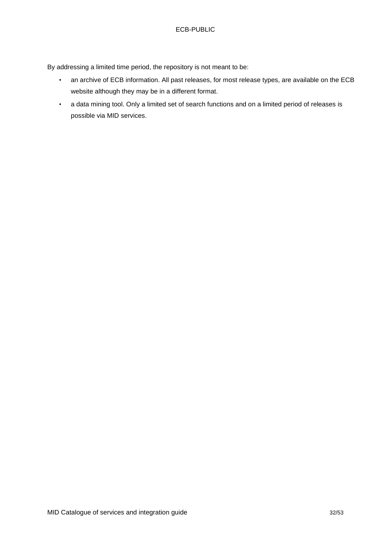By addressing a limited time period, the repository is not meant to be:

- an archive of ECB information. All past releases, for most release types, are available on the ECB website although they may be in a different format.
- a data mining tool. Only a limited set of search functions and on a limited period of releases is possible via MID services.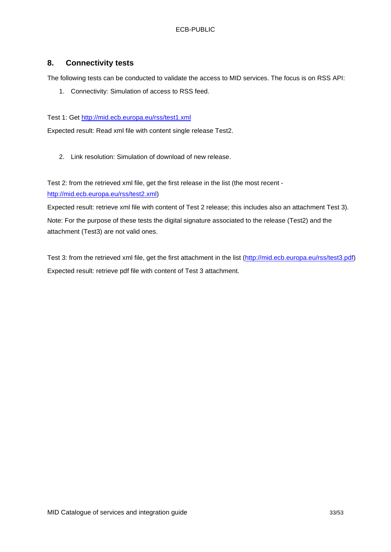# <span id="page-32-0"></span>**8. Connectivity tests**

The following tests can be conducted to validate the access to MID services. The focus is on RSS API:

1. Connectivity: Simulation of access to RSS feed.

Test 1: Get<http://mid.ecb.europa.eu/rss/test1.xml>

Expected result: Read xml file with content single release Test2.

2. Link resolution: Simulation of download of new release.

Test 2: from the retrieved xml file, get the first release in the list (the most recent [http://mid.ecb.europa.eu/rss/test2.xml\)](http://mid.ecb.europa.eu/rss/test2.xml)

Expected result: retrieve xml file with content of Test 2 release; this includes also an attachment Test 3). Note: For the purpose of these tests the digital signature associated to the release (Test2) and the attachment (Test3) are not valid ones.

Test 3: from the retrieved xml file, get the first attachment in the list [\(http://mid.ecb.europa.eu/rss/test3.pdf\)](http://mid.ecb.europa.eu/rss/test3.pdf) Expected result: retrieve pdf file with content of Test 3 attachment.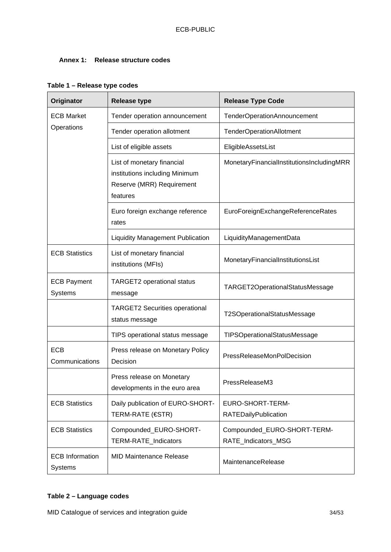# <span id="page-33-0"></span>**Annex 1: Release structure codes**

| Originator                                                 | <b>Release type</b>                                                                                   | <b>Release Type Code</b>                           |  |
|------------------------------------------------------------|-------------------------------------------------------------------------------------------------------|----------------------------------------------------|--|
| <b>ECB Market</b>                                          | Tender operation announcement                                                                         | TenderOperationAnnouncement                        |  |
| Operations                                                 | Tender operation allotment                                                                            | <b>TenderOperationAllotment</b>                    |  |
|                                                            | List of eligible assets                                                                               | EligibleAssetsList                                 |  |
|                                                            | List of monetary financial<br>institutions including Minimum<br>Reserve (MRR) Requirement<br>features | MonetaryFinancialInstitutionsIncludingMRR          |  |
|                                                            | Euro foreign exchange reference<br>rates                                                              | EuroForeignExchangeReferenceRates                  |  |
|                                                            | <b>Liquidity Management Publication</b>                                                               | LiquidityManagementData                            |  |
| <b>ECB Statistics</b>                                      | List of monetary financial<br>institutions (MFIs)                                                     | MonetaryFinancialInstitutionsList                  |  |
| <b>ECB Payment</b><br>Systems                              | <b>TARGET2</b> operational status<br>message                                                          | TARGET2OperationalStatusMessage                    |  |
| <b>TARGET2 Securities operational</b><br>status message    |                                                                                                       | T2SOperationalStatusMessage                        |  |
|                                                            | TIPS operational status message                                                                       | TIPSOperationalStatusMessage                       |  |
| <b>ECB</b><br>Communications                               | Press release on Monetary Policy<br>Decision                                                          | <b>PressReleaseMonPolDecision</b>                  |  |
| Press release on Monetary<br>developments in the euro area |                                                                                                       | PressReleaseM3                                     |  |
| <b>ECB Statistics</b>                                      | Daily publication of EURO-SHORT-<br><b>TERM-RATE (€STR)</b>                                           | EURO-SHORT-TERM-<br><b>RATEDailyPublication</b>    |  |
| <b>ECB Statistics</b>                                      | Compounded_EURO-SHORT-<br>TERM-RATE_Indicators                                                        | Compounded_EURO-SHORT-TERM-<br>RATE Indicators MSG |  |
| <b>ECB</b> Information<br>Systems                          | <b>MID Maintenance Release</b>                                                                        | MaintenanceRelease                                 |  |

# <span id="page-33-1"></span>**Table 1 – Release type codes**

# <span id="page-33-2"></span>**Table 2 – Language codes**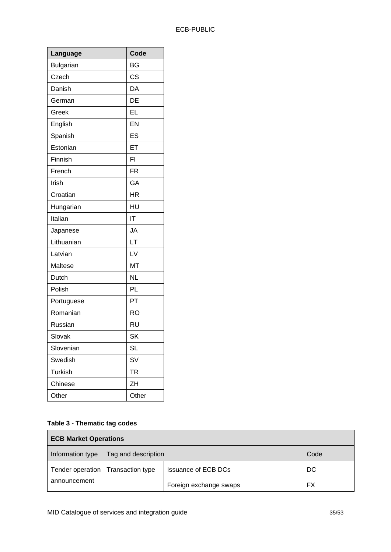| Language         | Code      |
|------------------|-----------|
| <b>Bulgarian</b> | BG        |
| Czech            | CS        |
| Danish           | DA        |
| German           | DE        |
| Greek            | EL        |
| English          | EN        |
| Spanish          | ES        |
| Estonian         | ET        |
| Finnish          | FI        |
| French           | <b>FR</b> |
| Irish            | GA        |
| Croatian         | <b>HR</b> |
| Hungarian        | HU        |
| Italian          | IT        |
| Japanese         | JA        |
| Lithuanian       | LT        |
| Latvian          | LV        |
| Maltese          | <b>MT</b> |
| Dutch            | <b>NL</b> |
| Polish           | PL        |
| Portuguese       | PT        |
| Romanian         | <b>RO</b> |
| Russian          | <b>RU</b> |
| Slovak           | <b>SK</b> |
| Slovenian        | <b>SL</b> |
| Swedish          | SV        |
| Turkish          | <b>TR</b> |
| Chinese          | ZH        |
| Other            | Other     |

# <span id="page-34-0"></span>**Table 3 - Thematic tag codes**

| <b>ECB Market Operations</b> |                                     |                            |      |
|------------------------------|-------------------------------------|----------------------------|------|
| Information type             | Tag and description                 |                            | Code |
|                              | Tender operation   Transaction type | <b>Issuance of ECB DCs</b> | DC   |
| announcement                 |                                     | Foreign exchange swaps     | FX   |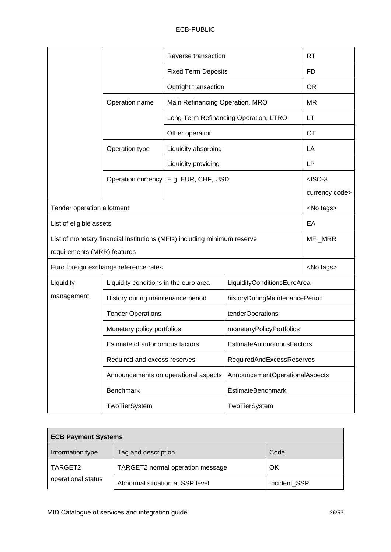|                             |                                       |                                                                          | Reverse transaction             |                   |  |
|-----------------------------|---------------------------------------|--------------------------------------------------------------------------|---------------------------------|-------------------|--|
|                             |                                       | <b>Fixed Term Deposits</b>                                               |                                 | FD                |  |
|                             |                                       | Outright transaction                                                     | Main Refinancing Operation, MRO |                   |  |
|                             | Operation name                        |                                                                          |                                 |                   |  |
|                             |                                       | Long Term Refinancing Operation, LTRO                                    |                                 | LT                |  |
|                             |                                       | Other operation                                                          |                                 |                   |  |
|                             | Operation type                        | Liquidity absorbing                                                      |                                 | LA                |  |
|                             |                                       | Liquidity providing                                                      |                                 | LP                |  |
|                             | Operation currency                    | E.g. EUR, CHF, USD                                                       |                                 | $<$ ISO-3         |  |
|                             |                                       |                                                                          |                                 | currency code>    |  |
| Tender operation allotment  |                                       |                                                                          |                                 | <no tags=""></no> |  |
| List of eligible assets     |                                       |                                                                          |                                 | EA                |  |
|                             |                                       | List of monetary financial institutions (MFIs) including minimum reserve |                                 | MFI_MRR           |  |
| requirements (MRR) features |                                       |                                                                          |                                 |                   |  |
|                             | Euro foreign exchange reference rates |                                                                          |                                 | <no tags=""></no> |  |
| Liquidity                   | Liquidity conditions in the euro area |                                                                          | LiquidityConditionsEuroArea     |                   |  |
| management                  | History during maintenance period     |                                                                          | historyDuringMaintenancePeriod  |                   |  |
|                             | <b>Tender Operations</b>              |                                                                          | tenderOperations                |                   |  |
|                             | Monetary policy portfolios            |                                                                          | monetaryPolicyPortfolios        |                   |  |
|                             | Estimate of autonomous factors        |                                                                          | EstimateAutonomousFactors       |                   |  |
|                             | Required and excess reserves          |                                                                          | RequiredAndExcessReserves       |                   |  |
|                             |                                       | Announcements on operational aspects                                     | AnnouncementOperationalAspects  |                   |  |
|                             | <b>Benchmark</b>                      |                                                                          |                                 |                   |  |
|                             | TwoTierSystem                         |                                                                          | <b>TwoTierSystem</b>            |                   |  |

| <b>ECB Payment Systems</b> |                                  |              |  |  |
|----------------------------|----------------------------------|--------------|--|--|
| Information type           | Tag and description              | Code         |  |  |
| TARGET2                    | TARGET2 normal operation message | OK           |  |  |
| operational status         | Abnormal situation at SSP level  | Incident SSP |  |  |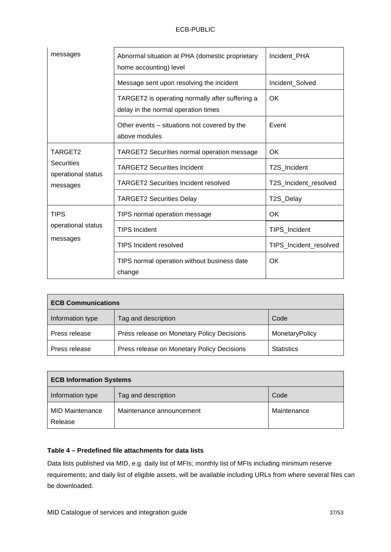| messages                                | Abnormal situation at PHA (domestic proprietary<br>home accounting) level              | Incident PHA           |
|-----------------------------------------|----------------------------------------------------------------------------------------|------------------------|
|                                         | Message sent upon resolving the incident                                               | Incident_Solved        |
|                                         | TARGET2 is operating normally after suffering a<br>delay in the normal operation times | <b>OK</b>              |
|                                         | Other events – situations not covered by the<br>above modules                          | Event                  |
| TARGET2                                 | <b>TARGET2 Securities normal operation message</b>                                     | OK.                    |
| <b>Securities</b><br>operational status | <b>TARGET2 Securities Incident</b>                                                     | T2S Incident           |
| messages                                | <b>TARGET2 Securities Incident resolved</b>                                            | T2S_Incident_resolved  |
|                                         | <b>TARGET2 Securities Delay</b>                                                        | T2S_Delay              |
| <b>TIPS</b>                             | TIPS normal operation message                                                          | OK                     |
| operational status                      | <b>TIPS Incident</b>                                                                   | TIPS_Incident          |
| messages                                | <b>TIPS Incident resolved</b>                                                          | TIPS_Incident_resolved |
|                                         | TIPS normal operation without business date<br>change                                  | OK.                    |

| <b>ECB Communications</b> |                                            |                   |  |
|---------------------------|--------------------------------------------|-------------------|--|
| Information type          | Tag and description                        | Code              |  |
| Press release             | Press release on Monetary Policy Decisions | MonetaryPolicy    |  |
| Press release             | Press release on Monetary Policy Decisions | <b>Statistics</b> |  |

| <b>ECB Information Systems</b> |                          |             |  |
|--------------------------------|--------------------------|-------------|--|
| Information type               | Tag and description      | Code        |  |
| <b>MID Maintenance</b>         | Maintenance announcement | Maintenance |  |
| Release                        |                          |             |  |

# **Table 4 – Predefined file attachments for data lists**

Data lists published via MID, e.g. daily list of MFIs; monthly list of MFIs including minimum reserve requirements; and daily list of eligible assets, will be available including URLs from where several files can be downloaded.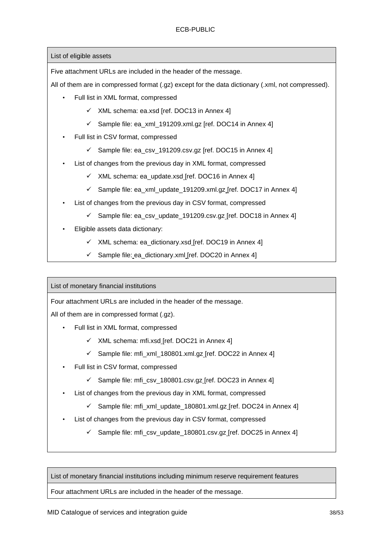List of eligible assets

Five attachment URLs are included in the header of the message.

All of them are in compressed format (.gz) except for the data dictionary (.xml, not compressed).

- Full list in XML format, compressed
	- $\times$  XML schema: ea.xsd [ref. DOC13 in Annex 4]
	- $\checkmark$  Sample file: ea\_xml\_191209.xml.gz [ref. DOC14 in Annex 4]
- Full list in CSV format, compressed
	- $\checkmark$  Sample file: ea\_csv\_191209.csv.gz [ref. DOC15 in Annex 4]
- List of changes from the previous day in XML format, compressed
	- $\checkmark$  XML schema: ea\_update.xsd [ref. DOC16 in Annex 4]
	- $\checkmark$  Sample file: ea\_xml\_update\_191209.xml.gz [ref. DOC17 in Annex 4]
- List of changes from the previous day in CSV format, compressed
	- $\checkmark$  Sample file: ea\_csv\_update\_191209.csv.gz\_[ref. DOC18 in Annex 4]
- Eligible assets data dictionary:
	- $\checkmark$  XML schema: ea\_dictionary.xsd [ref. DOC19 in Annex 4]
	- $\checkmark$  Sample file: ea\_dictionary.xml [ref. DOC20 in Annex 4]

List of monetary financial institutions

Four attachment URLs are included in the header of the message.

All of them are in compressed format (.gz).

- Full list in XML format, compressed
	- $\times$  XML schema: mfi.xsd [ref. DOC21 in Annex 4]
	- $\checkmark$  Sample file: mfi\_xml\_180801.xml.gz\_[ref. DOC22 in Annex 4]
- Full list in CSV format, compressed
	- $\checkmark$  Sample file: mfi\_csv\_180801.csv.gz [ref. DOC23 in Annex 4]
- List of changes from the previous day in XML format, compressed
	- $\checkmark$  Sample file: mfi\_xml\_update\_180801.xml.gz [ref. DOC24 in Annex 4]
- List of changes from the previous day in CSV format, compressed
	- $\checkmark$  Sample file: mfi\_csv\_update\_180801.csv.gz\_[ref. DOC25 in Annex 4]

List of monetary financial institutions including minimum reserve requirement features

Four attachment URLs are included in the header of the message.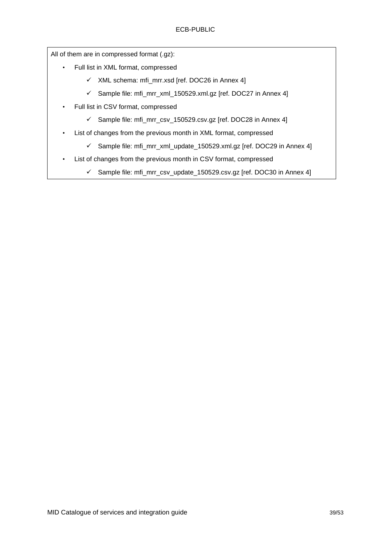All of them are in compressed format (.gz):

- Full list in XML format, compressed
	- $\checkmark$  XML schema: mfi\_mrr.xsd [ref. DOC26 in Annex 4]
	- $\checkmark$  Sample file: mfi\_mrr\_xml\_150529.xml.gz [ref. DOC27 in Annex 4]
- Full list in CSV format, compressed
	- $\checkmark$  Sample file: mfi\_mrr\_csv\_150529.csv.gz [ref. DOC28 in Annex 4]
- List of changes from the previous month in XML format, compressed
	- $\checkmark$  Sample file: mfi\_mrr\_xml\_update\_150529.xml.gz [ref. DOC29 in Annex 4]
- <span id="page-38-0"></span>• List of changes from the previous month in CSV format, compressed
	- $\checkmark$  Sample file: mfi\_mrr\_csv\_update\_150529.csv.gz [ref. DOC30 in Annex 4]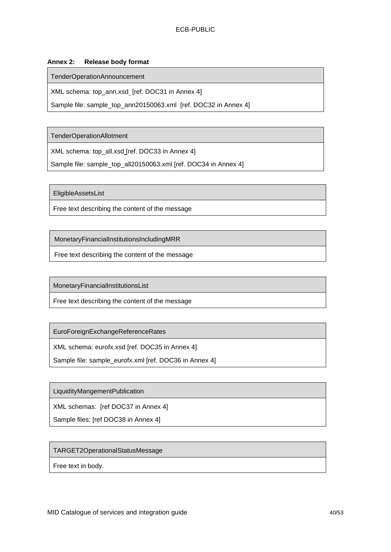## <span id="page-39-0"></span>**Annex 2: Release body format**

TenderOperationAnnouncement

XML schema: top\_ann.xsd\_ [ref. DOC31 in Annex 4]

Sample file: sample\_top\_ann20150063.xml [ref. DOC32 in Annex 4]

TenderOperationAllotment

XML schema: top\_all.xsd [ref. DOC33 in Annex 4]

Sample file: sample\_top\_all20150063.xml [ref. DOC34 in Annex 4]

EligibleAssetsList

Free text describing the content of the message

MonetaryFinancialInstitutionsIncludingMRR

Free text describing the content of the message

MonetaryFinancialInstitutionsList

Free text describing the content of the message

EuroForeignExchangeReferenceRates

XML schema: eurofx.xsd [ref. DOC35 in Annex 4]

Sample file: sample\_eurofx.xml [ref. DOC36 in Annex 4]

LiquidityMangementPublication

XML schemas: [ref DOC37 in Annex 4]

Sample files: [ref DOC38 in Annex 4]

#### TARGET2OperationalStatusMessage

Free text in body.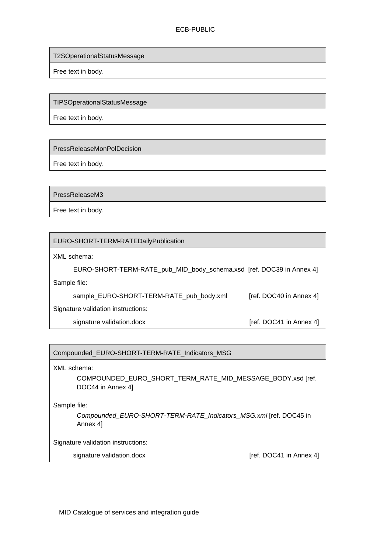T2SOperationalStatusMessage

Free text in body.

TIPSOperationalStatusMessage

Free text in body.

PressReleaseMonPolDecision

Free text in body.

PressReleaseM3

Free text in body.

EURO-SHORT-TERM-RATEDailyPublication

XML schema:

 EURO-SHORT-TERM-RATE\_pub\_MID\_body\_schema.xsd [ref. DOC39 in Annex 4] Sample file:

sample\_EURO-SHORT-TERM-RATE\_pub\_body.xml [ref. DOC40 in Annex 4]

Signature validation instructions:

signature validation.docx [ref. DOC41 in Annex 4]

# Compounded\_EURO-SHORT-TERM-RATE\_Indicators\_MSG

XML schema:

COMPOUNDED\_EURO\_SHORT\_TERM\_RATE\_MID\_MESSAGE\_BODY.xsd [ref. DOC44 in Annex 4]

Sample file:

*Compounded\_EURO-SHORT-TERM-RATE\_Indicators\_MSG.xml* [ref. DOC45 in Annex 4]

Signature validation instructions:

signature validation.docx [ref. DOC41 in Annex 4]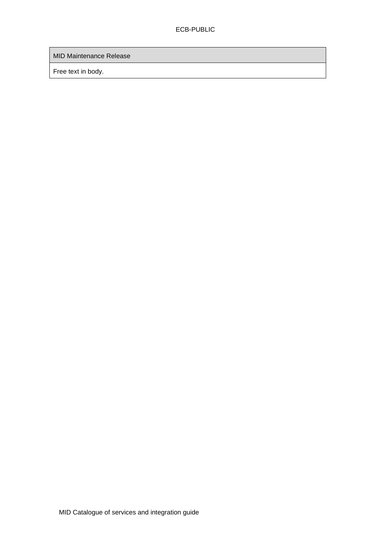MID Maintenance Release

Free text in body.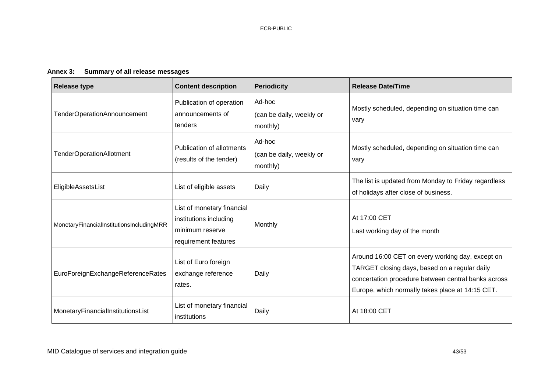# **Annex 3: Summary of all release messages**

<span id="page-42-0"></span>

| <b>Release type</b>                       | <b>Content description</b>                                                                      | <b>Periodicity</b>                             | <b>Release Date/Time</b>                                                                                                                                                                                     |
|-------------------------------------------|-------------------------------------------------------------------------------------------------|------------------------------------------------|--------------------------------------------------------------------------------------------------------------------------------------------------------------------------------------------------------------|
| TenderOperationAnnouncement               | Publication of operation<br>announcements of<br>tenders                                         | Ad-hoc<br>(can be daily, weekly or<br>monthly) | Mostly scheduled, depending on situation time can<br>vary                                                                                                                                                    |
| <b>TenderOperationAllotment</b>           | <b>Publication of allotments</b><br>(results of the tender)                                     | Ad-hoc<br>(can be daily, weekly or<br>monthly) | Mostly scheduled, depending on situation time can<br>vary                                                                                                                                                    |
| EligibleAssetsList                        | List of eligible assets                                                                         | Daily                                          | The list is updated from Monday to Friday regardless<br>of holidays after close of business.                                                                                                                 |
| MonetaryFinancialInstitutionsIncludingMRR | List of monetary financial<br>institutions including<br>minimum reserve<br>requirement features | Monthly                                        | At 17:00 CET<br>Last working day of the month                                                                                                                                                                |
| EuroForeignExchangeReferenceRates         | List of Euro foreign<br>exchange reference<br>rates.                                            | Daily                                          | Around 16:00 CET on every working day, except on<br>TARGET closing days, based on a regular daily<br>concertation procedure between central banks across<br>Europe, which normally takes place at 14:15 CET. |
| MonetaryFinancialInstitutionsList         | List of monetary financial<br>institutions                                                      | Daily                                          | At 18:00 CET                                                                                                                                                                                                 |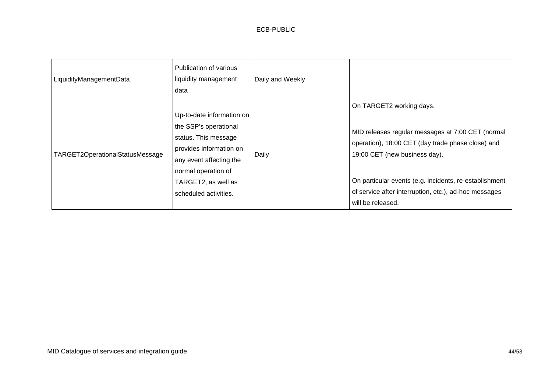| LiquidityManagementData         | Publication of various<br>liquidity management<br>data                                                                                                                                                  | Daily and Weekly |                                                                                                                                                                                                                                                                                                             |
|---------------------------------|---------------------------------------------------------------------------------------------------------------------------------------------------------------------------------------------------------|------------------|-------------------------------------------------------------------------------------------------------------------------------------------------------------------------------------------------------------------------------------------------------------------------------------------------------------|
| TARGET2OperationalStatusMessage | Up-to-date information on<br>the SSP's operational<br>status. This message<br>provides information on<br>any event affecting the<br>normal operation of<br>TARGET2, as well as<br>scheduled activities. | Daily            | On TARGET2 working days.<br>MID releases regular messages at 7:00 CET (normal<br>operation), 18:00 CET (day trade phase close) and<br>19:00 CET (new business day).<br>On particular events (e.g. incidents, re-establishment<br>of service after interruption, etc.), ad-hoc messages<br>will be released. |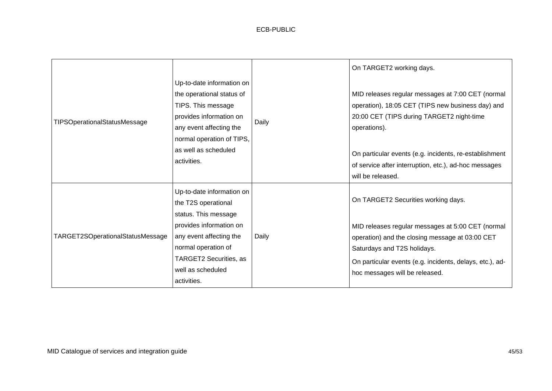|                                     |                                                                                                                                                                                                        |       | On TARGET2 working days.                                                                                                                                                                                                                                                               |
|-------------------------------------|--------------------------------------------------------------------------------------------------------------------------------------------------------------------------------------------------------|-------|----------------------------------------------------------------------------------------------------------------------------------------------------------------------------------------------------------------------------------------------------------------------------------------|
| <b>TIPSOperationalStatusMessage</b> | Up-to-date information on<br>the operational status of<br>TIPS. This message<br>provides information on<br>any event affecting the<br>normal operation of TIPS,<br>as well as scheduled<br>activities. | Daily | MID releases regular messages at 7:00 CET (normal<br>operation), 18:05 CET (TIPS new business day) and<br>20:00 CET (TIPS during TARGET2 night-time<br>operations).<br>On particular events (e.g. incidents, re-establishment<br>of service after interruption, etc.), ad-hoc messages |
|                                     |                                                                                                                                                                                                        |       | will be released.                                                                                                                                                                                                                                                                      |
|                                     | Up-to-date information on<br>the T2S operational<br>status. This message                                                                                                                               |       | On TARGET2 Securities working days.                                                                                                                                                                                                                                                    |
| TARGET2SOperationalStatusMessage    | provides information on<br>any event affecting the<br>normal operation of<br>TARGET2 Securities, as                                                                                                    | Daily | MID releases regular messages at 5:00 CET (normal<br>operation) and the closing message at 03:00 CET<br>Saturdays and T2S holidays.                                                                                                                                                    |
|                                     | well as scheduled<br>activities.                                                                                                                                                                       |       | On particular events (e.g. incidents, delays, etc.), ad-<br>hoc messages will be released.                                                                                                                                                                                             |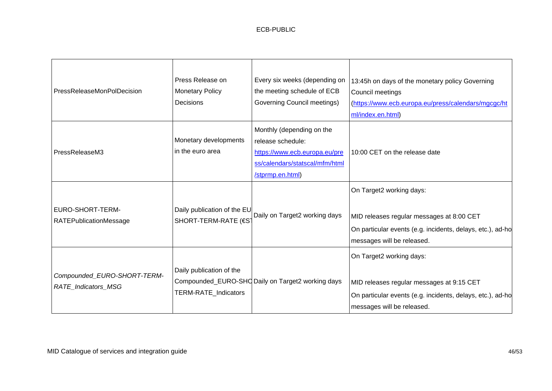| <b>PressReleaseMonPolDecision</b>                  | Press Release on<br><b>Monetary Policy</b><br>Decisions | Every six weeks (depending on<br>the meeting schedule of ECB<br>Governing Council meetings)                                           | 13:45h on days of the monetary policy Governing<br>Council meetings<br>(https://www.ecb.europa.eu/press/calendars/mgcgc/ht<br>ml/index.en.html)                   |
|----------------------------------------------------|---------------------------------------------------------|---------------------------------------------------------------------------------------------------------------------------------------|-------------------------------------------------------------------------------------------------------------------------------------------------------------------|
| PressReleaseM3                                     | Monetary developments<br>in the euro area               | Monthly (depending on the<br>release schedule:<br>https://www.ecb.europa.eu/pre<br>ss/calendars/statscal/mfm/html<br>/stprmp.en.html) | 10:00 CET on the release date                                                                                                                                     |
| EURO-SHORT-TERM-<br><b>RATEPublicationMessage</b>  | Daily publication of the EU<br>SHORT-TERM-RATE (€ST     | Daily on Target2 working days                                                                                                         | On Target2 working days:<br>MID releases regular messages at 8:00 CET<br>On particular events (e.g. incidents, delays, etc.), ad-ho<br>messages will be released. |
| Compounded_EURO-SHORT-TERM-<br>RATE_Indicators_MSG | Daily publication of the<br>TERM-RATE_Indicators        | Compounded_EURO-SHO Daily on Target2 working days                                                                                     | On Target2 working days:<br>MID releases regular messages at 9:15 CET<br>On particular events (e.g. incidents, delays, etc.), ad-ho<br>messages will be released. |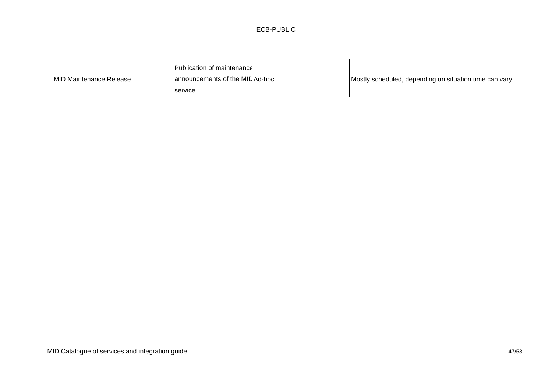## ECB-PUBLIC

|                          | Publication of maintenance      |                                                        |
|--------------------------|---------------------------------|--------------------------------------------------------|
| IMID Maintenance Release | announcements of the MID Ad-hoc | Mostly scheduled, depending on situation time can vary |
|                          | service                         |                                                        |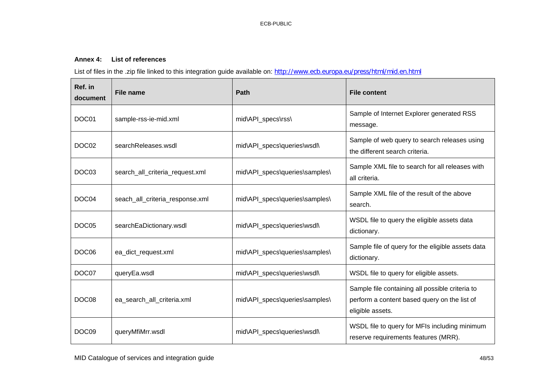### **Annex 4: List of references**

List of files in the .zip file linked to this integration guide available on: <http://www.ecb.europa.eu/press/html/mid.en.html>

<span id="page-47-0"></span>

| Ref. in<br>document | <b>File name</b>                | Path                           | <b>File content</b>                                                                                                 |
|---------------------|---------------------------------|--------------------------------|---------------------------------------------------------------------------------------------------------------------|
| DOC01               | sample-rss-ie-mid.xml           | mid\API_specs\rss\             | Sample of Internet Explorer generated RSS<br>message.                                                               |
| DOC <sub>02</sub>   | searchReleases.wsdl             | mid\API_specs\queries\wsdl\    | Sample of web query to search releases using<br>the different search criteria.                                      |
| DOC03               | search_all_criteria_request.xml | mid\API_specs\queries\samples\ | Sample XML file to search for all releases with<br>all criteria.                                                    |
| DOC04               | seach_all_criteria_response.xml | mid\API_specs\queries\samples\ | Sample XML file of the result of the above<br>search.                                                               |
| DOC05               | searchEaDictionary.wsdl         | mid\API_specs\queries\wsdl\    | WSDL file to query the eligible assets data<br>dictionary.                                                          |
| DOC <sub>06</sub>   | ea_dict_request.xml             | mid\API_specs\queries\samples\ | Sample file of query for the eligible assets data<br>dictionary.                                                    |
| DOC07               | queryEa.wsdl                    | mid\API_specs\queries\wsdl\    | WSDL file to query for eligible assets.                                                                             |
| DOC08               | ea_search_all_criteria.xml      | mid\API_specs\queries\samples\ | Sample file containing all possible criteria to<br>perform a content based query on the list of<br>eligible assets. |
| DOC09               | queryMfiMrr.wsdl                | mid\API_specs\queries\wsdl\    | WSDL file to query for MFIs including minimum<br>reserve requirements features (MRR).                               |

MID Catalogue of services and integration guide 48/53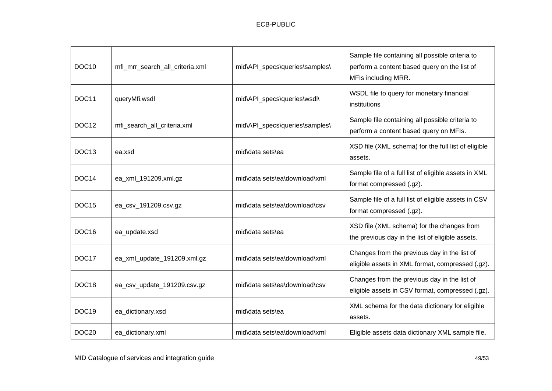| DOC <sub>10</sub> | mfi_mrr_search_all_criteria.xml | mid\API_specs\queries\samples\ | Sample file containing all possible criteria to<br>perform a content based query on the list of<br>MFIs including MRR. |
|-------------------|---------------------------------|--------------------------------|------------------------------------------------------------------------------------------------------------------------|
| DOC11             | queryMfi.wsdl                   | mid\API_specs\queries\wsdl\    | WSDL file to query for monetary financial<br>institutions                                                              |
| DOC <sub>12</sub> | mfi_search_all_criteria.xml     | mid\API_specs\queries\samples\ | Sample file containing all possible criteria to<br>perform a content based query on MFIs.                              |
| DOC <sub>13</sub> | ea.xsd                          | mid\data sets\ea               | XSD file (XML schema) for the full list of eligible<br>assets.                                                         |
| DOC <sub>14</sub> | ea_xml_191209.xml.gz            | mid\data sets\ea\download\xml  | Sample file of a full list of eligible assets in XML<br>format compressed (.gz).                                       |
| DOC <sub>15</sub> | ea_csv_191209.csv.gz            | mid\data sets\ea\download\csv  | Sample file of a full list of eligible assets in CSV<br>format compressed (.gz).                                       |
| DOC <sub>16</sub> | ea_update.xsd                   | mid\data sets\ea               | XSD file (XML schema) for the changes from<br>the previous day in the list of eligible assets.                         |
| DOC17             | ea_xml_update_191209.xml.gz     | mid\data sets\ea\download\xml  | Changes from the previous day in the list of<br>eligible assets in XML format, compressed (.gz).                       |
| DOC <sub>18</sub> | ea_csv_update_191209.csv.gz     | mid\data sets\ea\download\csy  | Changes from the previous day in the list of<br>eligible assets in CSV format, compressed (.gz).                       |
| DOC19             | ea_dictionary.xsd               | mid\data sets\ea               | XML schema for the data dictionary for eligible<br>assets.                                                             |
| DOC <sub>20</sub> | ea_dictionary.xml               | mid\data sets\ea\download\xml  | Eligible assets data dictionary XML sample file.                                                                       |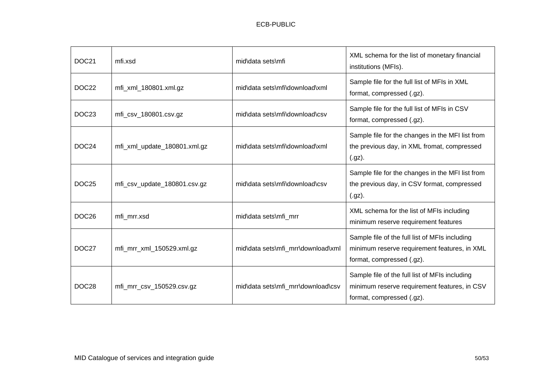| DOC21             | mfi.xsd                      | mid\data sets\mfi                  | XML schema for the list of monetary financial<br>institutions (MFIs).                                                       |
|-------------------|------------------------------|------------------------------------|-----------------------------------------------------------------------------------------------------------------------------|
| DOC22             | mfi_xml_180801.xml.gz        | mid\data sets\mfi\download\xml     | Sample file for the full list of MFIs in XML<br>format, compressed (.gz).                                                   |
| DOC <sub>23</sub> | mfi_csv_180801.csv.gz        | mid\data sets\mfi\download\csv     | Sample file for the full list of MFIs in CSV<br>format, compressed (.gz).                                                   |
| DOC24             | mfi_xml_update_180801.xml.gz | mid\data sets\mfi\download\xml     | Sample file for the changes in the MFI list from<br>the previous day, in XML fromat, compressed<br>$(gz)$ .                 |
| DOC <sub>25</sub> | mfi_csv_update_180801.csv.gz | mid\data sets\mfi\download\csv     | Sample file for the changes in the MFI list from<br>the previous day, in CSV format, compressed<br>$(gz)$ .                 |
| DOC <sub>26</sub> | mfi mrr.xsd                  | mid\data sets\mfi_mrr              | XML schema for the list of MFIs including<br>minimum reserve requirement features                                           |
| DOC27             | mfi_mrr_xml_150529.xml.gz    | mid\data sets\mfi_mrr\download\xml | Sample file of the full list of MFIs including<br>minimum reserve requirement features, in XML<br>format, compressed (.gz). |
| DOC28             | mfi_mrr_csv_150529.csv.gz    | mid\data sets\mfi_mrr\download\csv | Sample file of the full list of MFIs including<br>minimum reserve requirement features, in CSV<br>format, compressed (.gz). |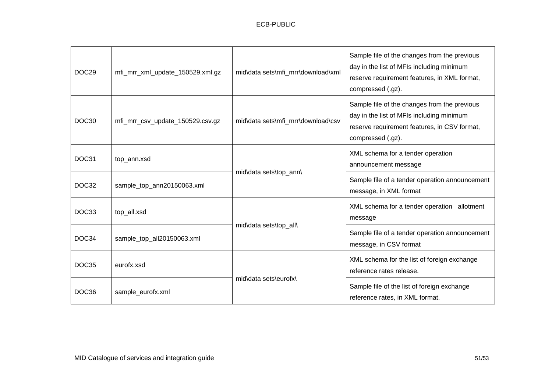| DOC <sub>29</sub> | mfi_mrr_xml_update_150529.xml.gz | mid\data sets\mfi_mrr\download\xml | Sample file of the changes from the previous<br>day in the list of MFIs including minimum<br>reserve requirement features, in XML format,<br>compressed (.gz). |
|-------------------|----------------------------------|------------------------------------|----------------------------------------------------------------------------------------------------------------------------------------------------------------|
| DOC <sub>30</sub> | mfi_mrr_csv_update_150529.csv.gz | mid\data sets\mfi_mrr\download\csv | Sample file of the changes from the previous<br>day in the list of MFIs including minimum<br>reserve requirement features, in CSV format,<br>compressed (.gz). |
| DOC31             | top_ann.xsd                      | mid\data sets\top_ann\             | XML schema for a tender operation<br>announcement message                                                                                                      |
| DOC32             | sample_top_ann20150063.xml       |                                    | Sample file of a tender operation announcement<br>message, in XML format                                                                                       |
| DOC33             | top_all.xsd                      | mid\data sets\top_all\             | XML schema for a tender operation allotment<br>message                                                                                                         |
| DOC34             | sample_top_all20150063.xml       |                                    | Sample file of a tender operation announcement<br>message, in CSV format                                                                                       |
| DOC35             | eurofx.xsd                       | mid\data sets\eurofx\              | XML schema for the list of foreign exchange<br>reference rates release.                                                                                        |
| DOC36             | sample_eurofx.xml                |                                    | Sample file of the list of foreign exchange<br>reference rates, in XML format.                                                                                 |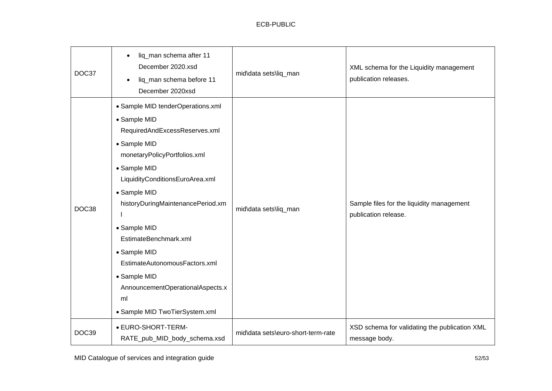# ECB-PUBLIC

| DOC37 | liq_man schema after 11<br>$\bullet$<br>December 2020.xsd<br>liq_man schema before 11<br>December 2020xsd                                                                                                                                                                                                                                                                                                                        | mid\data sets\liq_man              | XML schema for the Liquidity management<br>publication releases.  |
|-------|----------------------------------------------------------------------------------------------------------------------------------------------------------------------------------------------------------------------------------------------------------------------------------------------------------------------------------------------------------------------------------------------------------------------------------|------------------------------------|-------------------------------------------------------------------|
| DOC38 | • Sample MID tenderOperations.xml<br>• Sample MID<br>RequiredAndExcessReserves.xml<br>• Sample MID<br>monetaryPolicyPortfolios.xml<br>• Sample MID<br>LiquidityConditionsEuroArea.xml<br>• Sample MID<br>historyDuringMaintenancePeriod.xm<br>• Sample MID<br>EstimateBenchmark.xml<br>• Sample MID<br>EstimateAutonomousFactors.xml<br>• Sample MID<br>AnnouncementOperationalAspects.x<br>ml<br>• Sample MID TwoTierSystem.xml | mid\data sets\liq_man              | Sample files for the liquidity management<br>publication release. |
| DOC39 | • EURO-SHORT-TERM-<br>RATE_pub_MID_body_schema.xsd                                                                                                                                                                                                                                                                                                                                                                               | mid\data sets\euro-short-term-rate | XSD schema for validating the publication XML<br>message body.    |